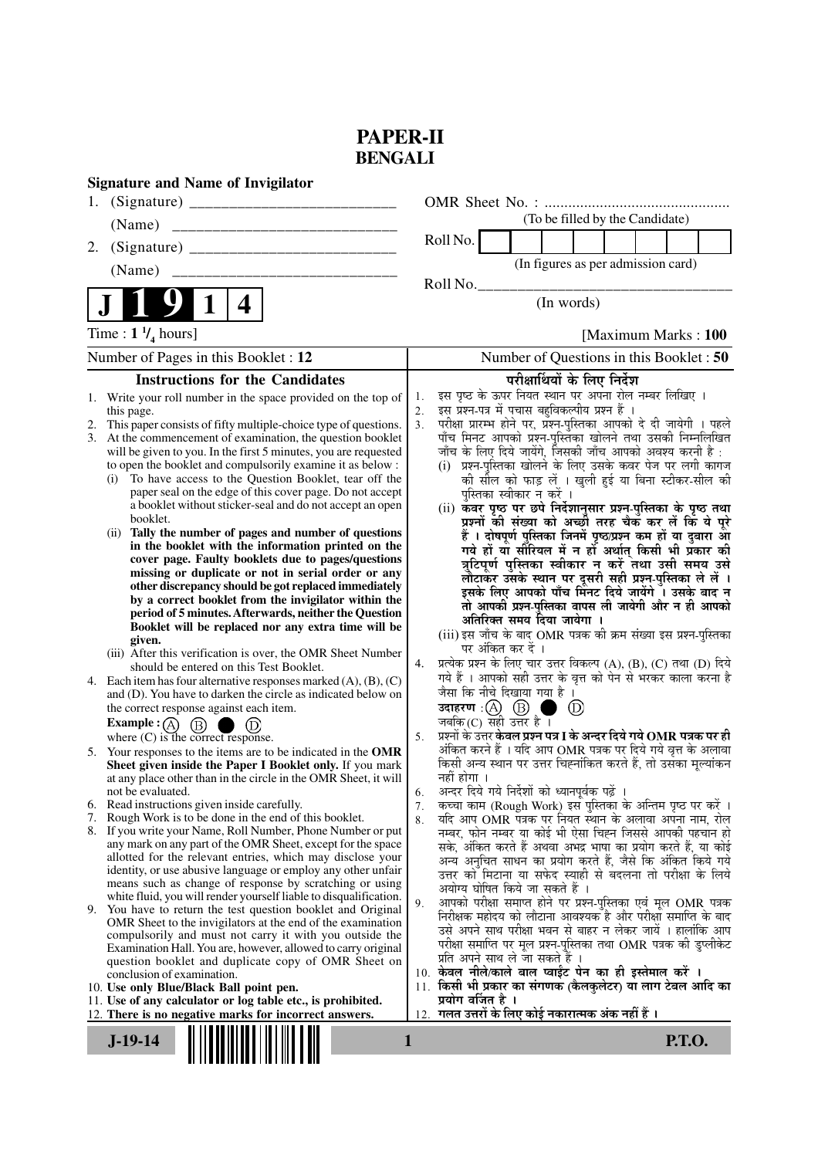# **PAPER-II BENGALI**

| <b>Signature and Name of Invigilator</b>                                                                                                                                                                                                                                                                                                                                                                                                                                                                                                                                                                                                                                                                                                                                                                                                                                                                                                                                                                                                                                                                                                                                                                                                                                                                                                                                                                                                                                                                                                                                                                                                                                                                                                                                                                                                                                                                                                                                                                                                                                                                                                                                                                                                                                                                                                                                                                                                              |                                                                                                                                                                                                                                                                                                                                                                                                                                                                                                                                                                                                                                                                                                                                                                                                                                                                                                                                                                                                                                                                                                                                                                                                                                                                                                                                                                                                                                                                                                                                                                                                                                                                                                                                                                                                                                                                                                                                                                                                                                                                                                                                                                                                                                                                                                                                                                                                                                                               |
|-------------------------------------------------------------------------------------------------------------------------------------------------------------------------------------------------------------------------------------------------------------------------------------------------------------------------------------------------------------------------------------------------------------------------------------------------------------------------------------------------------------------------------------------------------------------------------------------------------------------------------------------------------------------------------------------------------------------------------------------------------------------------------------------------------------------------------------------------------------------------------------------------------------------------------------------------------------------------------------------------------------------------------------------------------------------------------------------------------------------------------------------------------------------------------------------------------------------------------------------------------------------------------------------------------------------------------------------------------------------------------------------------------------------------------------------------------------------------------------------------------------------------------------------------------------------------------------------------------------------------------------------------------------------------------------------------------------------------------------------------------------------------------------------------------------------------------------------------------------------------------------------------------------------------------------------------------------------------------------------------------------------------------------------------------------------------------------------------------------------------------------------------------------------------------------------------------------------------------------------------------------------------------------------------------------------------------------------------------------------------------------------------------------------------------------------------------|---------------------------------------------------------------------------------------------------------------------------------------------------------------------------------------------------------------------------------------------------------------------------------------------------------------------------------------------------------------------------------------------------------------------------------------------------------------------------------------------------------------------------------------------------------------------------------------------------------------------------------------------------------------------------------------------------------------------------------------------------------------------------------------------------------------------------------------------------------------------------------------------------------------------------------------------------------------------------------------------------------------------------------------------------------------------------------------------------------------------------------------------------------------------------------------------------------------------------------------------------------------------------------------------------------------------------------------------------------------------------------------------------------------------------------------------------------------------------------------------------------------------------------------------------------------------------------------------------------------------------------------------------------------------------------------------------------------------------------------------------------------------------------------------------------------------------------------------------------------------------------------------------------------------------------------------------------------------------------------------------------------------------------------------------------------------------------------------------------------------------------------------------------------------------------------------------------------------------------------------------------------------------------------------------------------------------------------------------------------------------------------------------------------------------------------------------------------|
|                                                                                                                                                                                                                                                                                                                                                                                                                                                                                                                                                                                                                                                                                                                                                                                                                                                                                                                                                                                                                                                                                                                                                                                                                                                                                                                                                                                                                                                                                                                                                                                                                                                                                                                                                                                                                                                                                                                                                                                                                                                                                                                                                                                                                                                                                                                                                                                                                                                       |                                                                                                                                                                                                                                                                                                                                                                                                                                                                                                                                                                                                                                                                                                                                                                                                                                                                                                                                                                                                                                                                                                                                                                                                                                                                                                                                                                                                                                                                                                                                                                                                                                                                                                                                                                                                                                                                                                                                                                                                                                                                                                                                                                                                                                                                                                                                                                                                                                                               |
|                                                                                                                                                                                                                                                                                                                                                                                                                                                                                                                                                                                                                                                                                                                                                                                                                                                                                                                                                                                                                                                                                                                                                                                                                                                                                                                                                                                                                                                                                                                                                                                                                                                                                                                                                                                                                                                                                                                                                                                                                                                                                                                                                                                                                                                                                                                                                                                                                                                       | (To be filled by the Candidate)                                                                                                                                                                                                                                                                                                                                                                                                                                                                                                                                                                                                                                                                                                                                                                                                                                                                                                                                                                                                                                                                                                                                                                                                                                                                                                                                                                                                                                                                                                                                                                                                                                                                                                                                                                                                                                                                                                                                                                                                                                                                                                                                                                                                                                                                                                                                                                                                                               |
| 2.                                                                                                                                                                                                                                                                                                                                                                                                                                                                                                                                                                                                                                                                                                                                                                                                                                                                                                                                                                                                                                                                                                                                                                                                                                                                                                                                                                                                                                                                                                                                                                                                                                                                                                                                                                                                                                                                                                                                                                                                                                                                                                                                                                                                                                                                                                                                                                                                                                                    | Roll No.                                                                                                                                                                                                                                                                                                                                                                                                                                                                                                                                                                                                                                                                                                                                                                                                                                                                                                                                                                                                                                                                                                                                                                                                                                                                                                                                                                                                                                                                                                                                                                                                                                                                                                                                                                                                                                                                                                                                                                                                                                                                                                                                                                                                                                                                                                                                                                                                                                                      |
| (Name)                                                                                                                                                                                                                                                                                                                                                                                                                                                                                                                                                                                                                                                                                                                                                                                                                                                                                                                                                                                                                                                                                                                                                                                                                                                                                                                                                                                                                                                                                                                                                                                                                                                                                                                                                                                                                                                                                                                                                                                                                                                                                                                                                                                                                                                                                                                                                                                                                                                | (In figures as per admission card)                                                                                                                                                                                                                                                                                                                                                                                                                                                                                                                                                                                                                                                                                                                                                                                                                                                                                                                                                                                                                                                                                                                                                                                                                                                                                                                                                                                                                                                                                                                                                                                                                                                                                                                                                                                                                                                                                                                                                                                                                                                                                                                                                                                                                                                                                                                                                                                                                            |
|                                                                                                                                                                                                                                                                                                                                                                                                                                                                                                                                                                                                                                                                                                                                                                                                                                                                                                                                                                                                                                                                                                                                                                                                                                                                                                                                                                                                                                                                                                                                                                                                                                                                                                                                                                                                                                                                                                                                                                                                                                                                                                                                                                                                                                                                                                                                                                                                                                                       | Roll No.                                                                                                                                                                                                                                                                                                                                                                                                                                                                                                                                                                                                                                                                                                                                                                                                                                                                                                                                                                                                                                                                                                                                                                                                                                                                                                                                                                                                                                                                                                                                                                                                                                                                                                                                                                                                                                                                                                                                                                                                                                                                                                                                                                                                                                                                                                                                                                                                                                                      |
| $\mathbf 1$<br>4                                                                                                                                                                                                                                                                                                                                                                                                                                                                                                                                                                                                                                                                                                                                                                                                                                                                                                                                                                                                                                                                                                                                                                                                                                                                                                                                                                                                                                                                                                                                                                                                                                                                                                                                                                                                                                                                                                                                                                                                                                                                                                                                                                                                                                                                                                                                                                                                                                      | (In words)                                                                                                                                                                                                                                                                                                                                                                                                                                                                                                                                                                                                                                                                                                                                                                                                                                                                                                                                                                                                                                                                                                                                                                                                                                                                                                                                                                                                                                                                                                                                                                                                                                                                                                                                                                                                                                                                                                                                                                                                                                                                                                                                                                                                                                                                                                                                                                                                                                                    |
| Time : $1 \frac{1}{4}$ hours]                                                                                                                                                                                                                                                                                                                                                                                                                                                                                                                                                                                                                                                                                                                                                                                                                                                                                                                                                                                                                                                                                                                                                                                                                                                                                                                                                                                                                                                                                                                                                                                                                                                                                                                                                                                                                                                                                                                                                                                                                                                                                                                                                                                                                                                                                                                                                                                                                         | [Maximum Marks: 100                                                                                                                                                                                                                                                                                                                                                                                                                                                                                                                                                                                                                                                                                                                                                                                                                                                                                                                                                                                                                                                                                                                                                                                                                                                                                                                                                                                                                                                                                                                                                                                                                                                                                                                                                                                                                                                                                                                                                                                                                                                                                                                                                                                                                                                                                                                                                                                                                                           |
| Number of Pages in this Booklet: 12                                                                                                                                                                                                                                                                                                                                                                                                                                                                                                                                                                                                                                                                                                                                                                                                                                                                                                                                                                                                                                                                                                                                                                                                                                                                                                                                                                                                                                                                                                                                                                                                                                                                                                                                                                                                                                                                                                                                                                                                                                                                                                                                                                                                                                                                                                                                                                                                                   | Number of Questions in this Booklet : 50                                                                                                                                                                                                                                                                                                                                                                                                                                                                                                                                                                                                                                                                                                                                                                                                                                                                                                                                                                                                                                                                                                                                                                                                                                                                                                                                                                                                                                                                                                                                                                                                                                                                                                                                                                                                                                                                                                                                                                                                                                                                                                                                                                                                                                                                                                                                                                                                                      |
| <b>Instructions for the Candidates</b>                                                                                                                                                                                                                                                                                                                                                                                                                                                                                                                                                                                                                                                                                                                                                                                                                                                                                                                                                                                                                                                                                                                                                                                                                                                                                                                                                                                                                                                                                                                                                                                                                                                                                                                                                                                                                                                                                                                                                                                                                                                                                                                                                                                                                                                                                                                                                                                                                | परीक्षार्थियों के लिए निर्देश                                                                                                                                                                                                                                                                                                                                                                                                                                                                                                                                                                                                                                                                                                                                                                                                                                                                                                                                                                                                                                                                                                                                                                                                                                                                                                                                                                                                                                                                                                                                                                                                                                                                                                                                                                                                                                                                                                                                                                                                                                                                                                                                                                                                                                                                                                                                                                                                                                 |
| 1. Write your roll number in the space provided on the top of                                                                                                                                                                                                                                                                                                                                                                                                                                                                                                                                                                                                                                                                                                                                                                                                                                                                                                                                                                                                                                                                                                                                                                                                                                                                                                                                                                                                                                                                                                                                                                                                                                                                                                                                                                                                                                                                                                                                                                                                                                                                                                                                                                                                                                                                                                                                                                                         | इस पृष्ठ के ऊपर नियत स्थान पर अपना रोल नम्बर लिखिए ।<br>1.                                                                                                                                                                                                                                                                                                                                                                                                                                                                                                                                                                                                                                                                                                                                                                                                                                                                                                                                                                                                                                                                                                                                                                                                                                                                                                                                                                                                                                                                                                                                                                                                                                                                                                                                                                                                                                                                                                                                                                                                                                                                                                                                                                                                                                                                                                                                                                                                    |
| this page.<br>This paper consists of fifty multiple-choice type of questions.<br>2.<br>3. At the commencement of examination, the question booklet<br>will be given to you. In the first 5 minutes, you are requested<br>to open the booklet and compulsorily examine it as below :<br>To have access to the Question Booklet, tear off the<br>(i)<br>paper seal on the edge of this cover page. Do not accept<br>a booklet without sticker-seal and do not accept an open<br>booklet.<br>Tally the number of pages and number of questions<br>(ii)<br>in the booklet with the information printed on the<br>cover page. Faulty booklets due to pages/questions<br>missing or duplicate or not in serial order or any<br>other discrepancy should be got replaced immediately<br>by a correct booklet from the invigilator within the<br>period of 5 minutes. Afterwards, neither the Question<br>Booklet will be replaced nor any extra time will be<br>given.<br>(iii) After this verification is over, the OMR Sheet Number<br>should be entered on this Test Booklet.<br>4. Each item has four alternative responses marked $(A)$ , $(B)$ , $(C)$<br>and (D). You have to darken the circle as indicated below on<br>the correct response against each item.<br><b>Example</b> : $\left(\overline{A}\right)$<br>$\circled{B}$<br>where $(C)$ is the correct response.<br>5. Your responses to the items are to be indicated in the OMR<br>Sheet given inside the Paper I Booklet only. If you mark<br>at any place other than in the circle in the OMR Sheet, it will<br>not be evaluated.<br>6. Read instructions given inside carefully.<br>7. Rough Work is to be done in the end of this booklet.<br>8. If you write your Name, Roll Number, Phone Number or put<br>any mark on any part of the OMR Sheet, except for the space<br>allotted for the relevant entries, which may disclose your<br>identity, or use abusive language or employ any other unfair<br>means such as change of response by scratching or using<br>white fluid, you will render yourself liable to disqualification.<br>9. You have to return the test question booklet and Original<br>OMR Sheet to the invigilators at the end of the examination<br>compulsorily and must not carry it with you outside the<br>Examination Hall. You are, however, allowed to carry original<br>question booklet and duplicate copy of OMR Sheet on<br>conclusion of examination. | इस प्रश्न-पत्र में पचास बहुविकल्पीय प्रश्न हैं ।<br>2.<br>परीक्षा प्रारम्भ होने पर, प्रश्न-पुस्तिका आपको दे दी जायेगी । पहले<br>3.<br>पाँच मिनट आपको प्रश्न-पुस्तिका खोलने तथा उसकी निम्नलिखित<br>जाँच के लिए दिये जायेंगे, जिसकी जाँच आपको अवश्य करनी है :<br>(i) प्रश्न-पुस्तिका खोलने के लिए उसके कवर पेज पर लगी कागज<br>की सील को फाड़ लें । खुली हुई या बिना स्टीकर-सील की<br>पुस्तिका स्वीकार न करें ।<br>(ii) कवर पृष्ठ पर छपे निर्देशानुसार प्रश्न-पुस्तिका के पृष्ठ तथा<br>प्रश्नों की संख्या को अच्छी तरह चैक कर लें कि ये पूरे<br>हैं । दोषपूर्ण पुस्तिका जिनमें पृष्ठ/प्रश्न कम हों या दुबारा आ<br>गये हों या सौरियल में न हों अर्थात् किसी भी प्रॅकार की<br>त्रुटिपूर्ण पुस्तिका स्वीकार न करें तथा उसी समय उसे<br>लौटाकर उसके स्थान पर दूसरी सही प्रश्न-पुस्तिका ले लें ।<br>इसके लिए आपको पाँच मिनट दिये जायेंगे । उसके बाद न<br>तो आपकी प्रश्न-पुस्तिका वापस ली जायेगी और न ही आपको<br>अतिरिक्त समय दिया जायेगा ।<br>(iii) इस जाँच के बाद OMR पत्रक की क्रम संख्या इस प्रश्न-पुस्तिका<br>पर अंकित कर दें ।<br>प्रत्येक प्रश्न के लिए चार उत्तर विकल्प (A), (B), (C) तथा (D) दिये<br>4.<br>गये हैं । आपको सही उत्तर के वृत्त को पेन से भरकर काला करना है<br>जैसा कि नीचे दिखाया गया है ।<br>उदाहरण: $\textcircled{A}$ $\textcircled{B}$<br>(D)<br>जबकि(C) सही उत्तर है ।<br>प्रश्नों के उत्तर केवल प्रश्न पत्र I के अन्दर दिये गये OMR पत्रक पर ही<br>5.<br>अंकित करने हैं । यदि आप OMR पत्रक पर दिये गये वृत्त के अलावा<br>किसी अन्य स्थान पर उत्तर चिह्नांकित करते हैं, तो उसँका मूल्यांकन<br>नहीं होगा ।<br>अन्दर दिये गये निर्देशों को ध्यानपूर्वक पढ़ें ।<br>6.<br>कच्चा काम (Rough Work) इस पुस्तिका के अन्तिम पृष्ठ पर करें ।<br>7.<br>यदि आप OMR पत्रक पर नियत स्थान के अलावा अपना नाम, रोल<br>8.<br>नम्बर, फोन नम्बर या कोई भी ऐसा चिह्न जिससे आपकी पहचान हो<br>सके, अंकित करते हैं अथवा अभद्र भाषा का प्रयोग करते हैं, या कोई<br>अन्य अनुचित साधन का प्रयोग करते हैं, जैसे कि अंकित किये गये<br>उत्तर को मिटाना या सफेद स्याही से बदलना तो परीक्षा के लिये<br>अयोग्य घोषित किये जा सकते हैं ।<br>आपको परीक्षा समाप्त होने पर प्रश्न-पुस्तिका एवं मूल OMR पत्रक<br>9.<br>निरीक्षक महोदय को लौटाना आवश्यक है और परीक्षा समाप्ति के बाद<br>उसे अपने साथ परीक्षा भवन से बाहर न लेकर जायें । हालांकि आप<br>परीक्षा समाप्ति पर मूल प्रश्न-पुस्तिका तथा OMR पत्रक की डुप्लीकेट<br>प्रति अपने साथ ले जा सकते हैं ।<br>10. केवल नीले/काले बाल प्वाईंट पेन का ही इस्तेमाल करें ।<br>11. किसी भी प्रकार का संगणक (कैलकुलेटर) या लाग टेबल आदि का |
| 10. Use only Blue/Black Ball point pen.<br>11. Use of any calculator or log table etc., is prohibited.                                                                                                                                                                                                                                                                                                                                                                                                                                                                                                                                                                                                                                                                                                                                                                                                                                                                                                                                                                                                                                                                                                                                                                                                                                                                                                                                                                                                                                                                                                                                                                                                                                                                                                                                                                                                                                                                                                                                                                                                                                                                                                                                                                                                                                                                                                                                                | प्रयोग वर्जित है ।                                                                                                                                                                                                                                                                                                                                                                                                                                                                                                                                                                                                                                                                                                                                                                                                                                                                                                                                                                                                                                                                                                                                                                                                                                                                                                                                                                                                                                                                                                                                                                                                                                                                                                                                                                                                                                                                                                                                                                                                                                                                                                                                                                                                                                                                                                                                                                                                                                            |
| 12. There is no negative marks for incorrect answers.                                                                                                                                                                                                                                                                                                                                                                                                                                                                                                                                                                                                                                                                                                                                                                                                                                                                                                                                                                                                                                                                                                                                                                                                                                                                                                                                                                                                                                                                                                                                                                                                                                                                                                                                                                                                                                                                                                                                                                                                                                                                                                                                                                                                                                                                                                                                                                                                 | 12.  गलत उत्तरों के लिए कोई नकारात्मक अंक नहीं हैं ।                                                                                                                                                                                                                                                                                                                                                                                                                                                                                                                                                                                                                                                                                                                                                                                                                                                                                                                                                                                                                                                                                                                                                                                                                                                                                                                                                                                                                                                                                                                                                                                                                                                                                                                                                                                                                                                                                                                                                                                                                                                                                                                                                                                                                                                                                                                                                                                                          |
| $J-19-14$                                                                                                                                                                                                                                                                                                                                                                                                                                                                                                                                                                                                                                                                                                                                                                                                                                                                                                                                                                                                                                                                                                                                                                                                                                                                                                                                                                                                                                                                                                                                                                                                                                                                                                                                                                                                                                                                                                                                                                                                                                                                                                                                                                                                                                                                                                                                                                                                                                             | <b>P.T.O.</b><br>1                                                                                                                                                                                                                                                                                                                                                                                                                                                                                                                                                                                                                                                                                                                                                                                                                                                                                                                                                                                                                                                                                                                                                                                                                                                                                                                                                                                                                                                                                                                                                                                                                                                                                                                                                                                                                                                                                                                                                                                                                                                                                                                                                                                                                                                                                                                                                                                                                                            |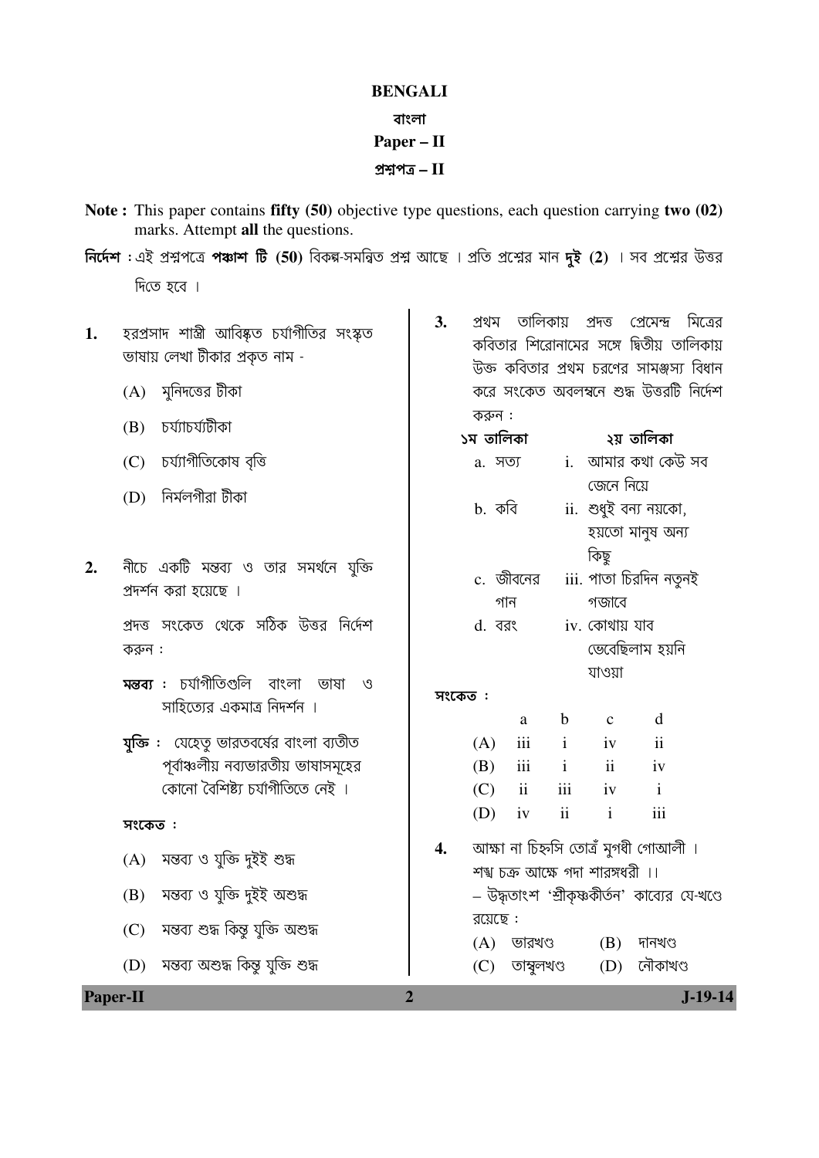## **BENGALI**

### বাংলা

## $Paper - II$

## প্রশ্নপত্র  $\rm II$

- Note: This paper contains fifty (50) objective type questions, each question carrying two (02) marks. Attempt all the questions.
- নির্দেশ : এই প্রশ্নপত্রে পঞ্চাশ টি (50) বিকল্প-সমন্বিত প্রশ্ন আছে । প্রতি প্রশ্নের মান দুই (2) । সব প্রশ্নের উত্তর দিতে হবে ।
- হরপ্রসাদ শাস্ত্রী আবিষ্কৃত চর্যাগীতির সংস্কৃত 1. ভাষায় লেখা টীকার প্রকৃত নাম -
	- (A) মুনিদত্তের টীকা
	- (B) চৰ্য্যাচৰ্য্যটীকা
	- (C) চৰ্য্যাগীতিকোষ বৃত্তি
	- (D) নিৰ্মলগীৱা টীকা
- $2.$ নীচে একটি মন্তব্য ও তার সমর্থনে যুক্তি প্রদর্শন করা হয়েছে ।
	- প্রদত্ত সংকেত থেকে সঠিক উত্তর নির্দেশ করুন :
	- মন্তব্য : চৰ্যাগীতিগুলি বাংলা ভাষা ও সাহিত্যের একমাত্র নিদর্শন ।
	- **যুক্তি :** যেহেতু ভারতবর্ষের বাংলা ব্যতীত পর্বাঞ্চলীয় নব্যভারতীয় ভাষাসমূহের কোনো বৈশিষ্ট্য চৰ্যাগীতিতে নেই ।

## সংকেত:

**Paper-II** 

- $(A)$  মন্তব্য ও যুক্তি দুইই শুদ্ধ
- (B) মন্তব্য ও যুক্তি দুইই অশুদ্ধ
- মন্তব্য শুদ্ধ কিন্তু যুক্তি অশুদ্ধ  $(C)$
- মন্তব্য অশুদ্ধ কিন্তু যুক্তি শুদ্ধ  $(D)$
- প্ৰথম তালিকায় প্রদত্ত প্রেমেন্দ্র মিত্রের  $3.$ কবিতার শিরোনামের সঙ্গে দ্বিতীয় তালিকায় উক্ত কবিতার প্রথম চরণের সামঞ্জস্য বিধান করে সংকেত অবলম্বনে শুদ্ধ উত্তরটি নির্দেশ করুন :
	- ১ম তালিকা ২য় তালিকা i. আমার কথা কেউ সব  $a.$  সত্য জেনে নিয়ে b. কবি  $ii.$  শুধুই বন্য নয়কো, হয়তো মানুষ অন্য কিছু c. জীবনের iii. পাতা চিরদিন নতুনই গান গজাবে
	- $iv$ , কোথায় যাব  $d.$  বরং ভেবেছিলাম হয়নি

যাওয়া

# সংকেত :

|     | a                       | b   | $\mathbf c$ | d   |
|-----|-------------------------|-----|-------------|-----|
| (A) | iii                     | i.  | iv          | ii  |
| (B) | iii                     | i   | ii          | iv  |
| (C) | $\overline{\mathbf{u}}$ | iii | iv          | i   |
| (D) | iv                      | ii  | 1           | 111 |

- আক্ষা না চিহ্নসি তোত্ৰঁ মুগধী গোআলী ।  $\overline{4}$ . শশ্ব চক্ৰ আক্ষে গদা শারঙ্গধরী ।। – উদ্ধতাংশ 'শ্রীকৃষ্ণকীর্তন' কাব্যের যে-খণ্ডে রয়েছে $:$  $(A)$  ভারখণ্ড (B) দানখণ্য
	- (D) নৌকাখণ্ড (C) তাম্বলখণ্ড

## $\overline{2}$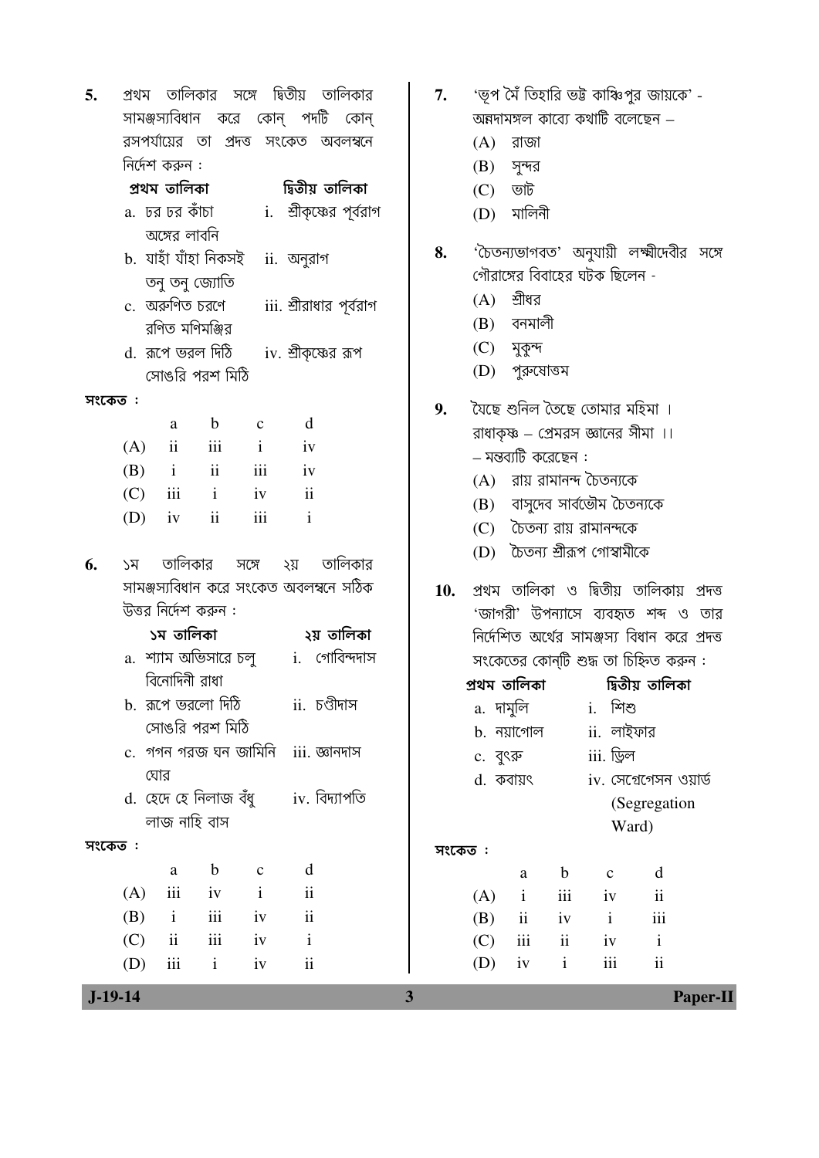| $J-19-14$ |     |                  |                          |                       |                                        | 3 |        |                            |               |                                                          |                          | Paper-II |
|-----------|-----|------------------|--------------------------|-----------------------|----------------------------------------|---|--------|----------------------------|---------------|----------------------------------------------------------|--------------------------|----------|
|           | (D) | iii              | $\mathbf{i}$             | iv                    | $\rm ii$                               |   | (D)    | iv                         | $\mathbf{i}$  | iii                                                      | $\overline{\textbf{ii}}$ |          |
|           | (C) | ii               | $\rm iii$                | iv                    | $\mathbf{i}$                           |   | (C)    | $\overline{\text{iii}}$    | $\mathbf{ii}$ | iv                                                       | $\mathbf{i}$             |          |
|           | (B) | $\mathbf{i}$     | $\rm iii$                | iv                    | $\rm ii$                               |   | (B)    | ii                         | iv            | $\mathbf{i}$                                             | $\,$ iii                 |          |
|           | (A) | iii              | iv                       | $\mathbf{i}$          | $\rm ii$                               |   | (A)    | $\mathbf{i}$               | iii           | iv                                                       | $\mathbf{ii}$            |          |
|           |     | $\mathbf{a}$     | $\mathbf b$              | $\mathbf C$           | d                                      |   |        | $\rm{a}$                   | $\mathbf b$   | $\mathbf{C}$                                             | d                        |          |
| সংকেত:    |     |                  |                          |                       |                                        |   | সংকেত: |                            |               |                                                          |                          |          |
|           |     | লাজ নাহি বাস     |                          |                       |                                        |   |        |                            |               |                                                          | Ward)                    |          |
|           |     |                  |                          |                       | d. হেদে হে নিলাজ বঁধু iv. বিদ্যাপতি    |   |        |                            |               |                                                          | (Segregation             |          |
|           |     | ঘোর              |                          |                       |                                        |   |        | d. কবায়ৎ                  |               |                                                          | $iv.$ সেগ্রেগেসন ওয়ার্ড |          |
|           |     |                  |                          |                       | c.  গগন গরজ ঘন জামিনি   iii. জ্ঞানদাস  |   |        | c. বুৎরু                   |               | iii. ড্রিল                                               |                          |          |
|           |     |                  | সোঙরি পরশ মিঠি           |                       |                                        |   |        | b. নয়াগোল                 |               | $ii.$ লাইফার                                             |                          |          |
|           |     |                  | b. রূপে ভরলো দিঠি        |                       | ii. চণ্ডীদাস                           |   |        | প্ৰথম তালিকা<br>a.  দামুলি |               | i. শিশু                                                  | দ্বিতীয় তালিকা          |          |
|           |     | বিনোদিনী রাধা    |                          |                       |                                        |   |        |                            |               | সংকেতের কোন্টি শুদ্ধ তা চিহ্নিত করুন :                   |                          |          |
|           |     | ১ম তালিকা        |                          | a.  শ্যাম অভিসারে চলু | ২য় তালিকা<br>i. গোবিন্দদাস            |   |        |                            |               | নির্দেশিত অর্থের সামঞ্জস্য বিধান করে প্রদত্ত             |                          |          |
|           |     |                  | উত্তর নির্দেশ করুন :     |                       |                                        |   |        |                            |               | 'জাগরী' উপন্যাসে ব্যবহৃত শব্দ ও তার                      |                          |          |
|           |     |                  |                          |                       | সামঞ্জস্যবিধান করে সংকেত অবলম্বনে সঠিক |   | 10.    |                            |               | প্ৰথম তালিকা ও দ্বিতীয় তালিকায় প্ৰদত্ত                 |                          |          |
| 6.        | ১ম  | তালিকার          |                          | সঙ্গে                 | তালিকার<br>২য়                         |   |        |                            |               |                                                          |                          |          |
|           |     |                  |                          |                       |                                        |   |        |                            |               | (D) টৈতন্য শ্ৰীরূপ গোস্বামীকে                            |                          |          |
|           | (D) | iv               | $\overline{\mathbf{ii}}$ | iii                   | $\mathbf{i}$                           |   | (C)    |                            |               | চৈতন্য রায় রামানন্দকে                                   |                          |          |
|           | (C) | iii              | $\mathbf{i}$             | iv                    | $\overline{\mathbf{u}}$                |   | (B)    |                            |               | বাসুদেব সার্বভৌম চৈতন্যকে                                |                          |          |
|           | (B) | $\mathbf{i}$     | ii                       | iii                   | iv                                     |   |        |                            |               | (A) রায় রামানন্দ চৈতন্যকে                               |                          |          |
|           | (A) | ii               | iii                      | $\mathbf{i}$          | iv                                     |   |        | – মন্তব্যটি করেছেন :       |               |                                                          |                          |          |
|           |     | a                | $\mathbf b$              | $\mathbf C$           | d                                      |   | 9.     |                            |               | রাধাকৃষ্ণ – প্রেমরস জ্ঞানের সীমা ।।                      |                          |          |
| সংকেত :   |     |                  |                          |                       |                                        |   |        |                            |               | যৈছে শুনিল তৈছে তোমার মহিমা ।                            |                          |          |
|           |     |                  | সোঙরি পরশ মিঠি           |                       |                                        |   | (D)    | পুরুষোত্তম                 |               |                                                          |                          |          |
|           |     | d. রূপে ভরল দিঠি |                          |                       | iv. শ্রীকৃষ্ণের রূপ                    |   |        | (C) মুকুন্দ                |               |                                                          |                          |          |
|           |     | রণিত মণিমঞ্জির   |                          |                       |                                        |   | (B)    | বনমালী                     |               |                                                          |                          |          |
|           |     |                  | c.  অরুণিত চরণে          |                       | iii. শ্রীরাধার পূর্বরাগ                |   | (A)    | শ্রীধর                     |               |                                                          |                          |          |
|           |     |                  | তনু তনু জ্যোতি           |                       |                                        |   |        |                            |               | গৌরাঙ্গের বিবাহের ঘটক ছিলেন -                            |                          |          |
|           |     |                  | b.  যাহাঁ যাঁহা নিকসই    |                       | ii. অনুরাগ                             |   | 8.     |                            |               | 'চৈতন্যভাগবত' অনুযায়ী লক্ষ্মীদেবীর সঙ <mark>্গ</mark> ে |                          |          |
|           |     | অঙ্গের লাবনি     | a.  ঢর ঢর কাঁচা          |                       | i.  শ্রীকৃষ্ণের পূর্বরাগ               |   | (D)    | মালিনী                     |               |                                                          |                          |          |
|           |     | প্ৰথম তালিকা     |                          |                       | দ্বিতীয় তালিকা                        |   | (C)    | ভাট                        |               |                                                          |                          |          |
|           |     | নির্দেশ করুন :   |                          |                       |                                        |   |        | $(B)$ সুন্দর               |               |                                                          |                          |          |
|           |     |                  |                          |                       | রসপর্যায়ের তা প্রদত্ত সংকেত অবলম্বনে  |   | (A)    | রাজা                       |               |                                                          |                          |          |
|           |     |                  |                          |                       | সামঞ্জস্যবিধান করে কোন্ পদটি কোন্      |   |        |                            |               | অন্নদামঙ্গল কাব্যে কথাটি বলেছেন –                        |                          |          |
| 5.        |     |                  | প্রথম তালিকার সঙ্গে      |                       | দ্বিতীয় তালিকার                       |   | 7.     |                            |               | 'ভূপ মৈঁ তিহারি ভট্ট কাঞ্চিপুর জায়কে' -                 |                          |          |
|           |     |                  |                          |                       |                                        |   |        |                            |               |                                                          |                          |          |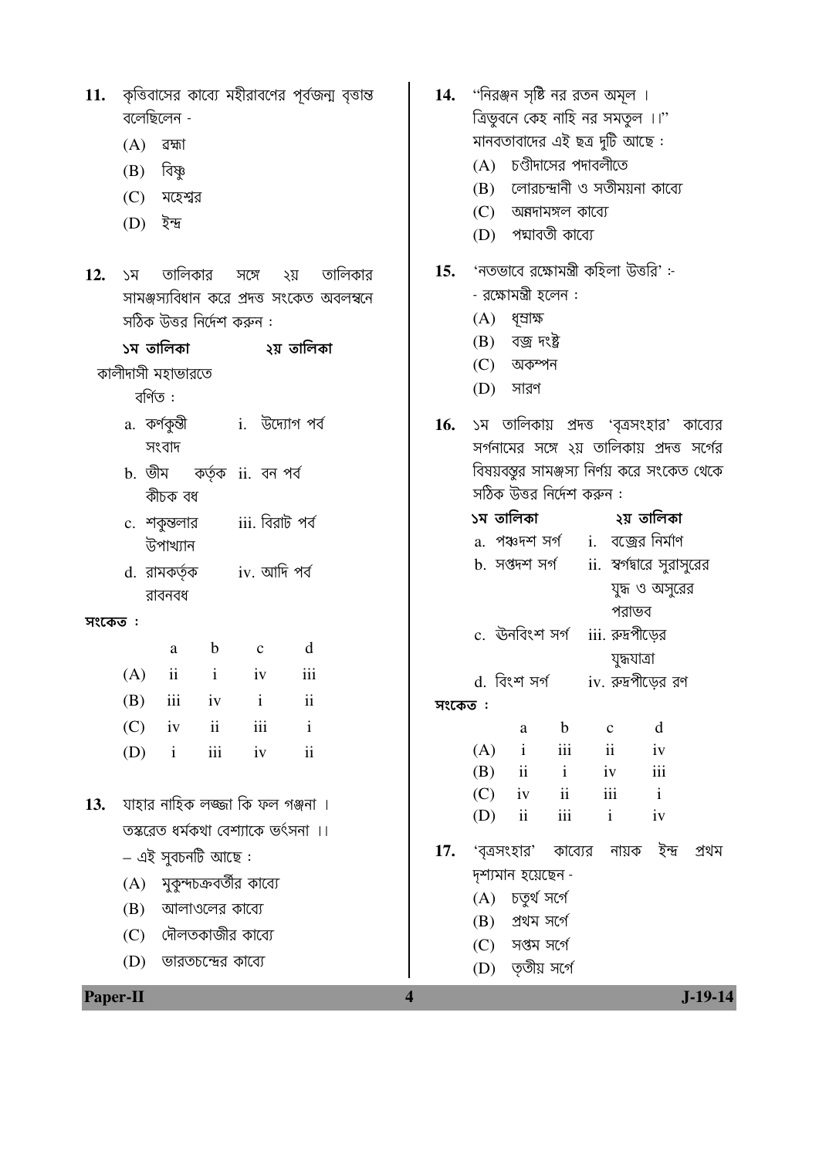| 11.      | কৃত্তিবাসের কাব্যে মহীরাবণের পূর্বজন্ম বৃত্তান্ত            |                         | <b>14. "নিরঞ্জন সৃষ্টি নর রতন অমূল</b> ।                    |
|----------|-------------------------------------------------------------|-------------------------|-------------------------------------------------------------|
|          | বলেছিলেন -                                                  |                         | ত্রিভুবনে কেহ নাহি নর সমতুল ।।"                             |
|          | (A)<br>ৱহ্মা                                                |                         | মানবতাবাদের এই ছত্র দুটি আছে:                               |
|          | বিষ্ণু<br>(B)                                               |                         | (A) চণ্ডীদাসের পদাবলীতে                                     |
|          | (C)<br>মহেশ্বর                                              |                         | লোরচন্দ্রানী ও সতীময়না কাব্যে<br>(B)                       |
|          | (D)<br>ইন্দ্ৰ                                               |                         | (C) অন্নদামঙ্গল কাব্যে                                      |
|          |                                                             |                         | (D) পদ্মাবতী কাব্যে                                         |
| 12.      | তালিকার<br>তালিকার<br>সঙ্গে<br>২য়<br>১ম                    | 15.                     | 'নতভাবে রক্ষোমন্ত্রী কহিলা উত্তরি' :-                       |
|          | সামঞ্জস্যবিধান করে প্রদত্ত সংকেত অবলম্বনে                   |                         | - রক্ষোমন্ত্রী হলেন :                                       |
|          | সঠিক উত্তর নির্দেশ করুন :                                   |                         | ধৃশ্ৰাক্ষ<br>(A)                                            |
|          |                                                             |                         | বজ্ৰ দংষ্ট্ৰ<br>(B)                                         |
|          | কালীদাসী মহাভারতে                                           |                         | (C)<br>অকম্পন                                               |
|          | বৰ্ণিত :                                                    |                         | (D)<br>সারণ                                                 |
|          | a. কর্ণকুন্তী          i.   উদ্যোগ পর্ব                     | 16.                     | ১ম তালিকায় প্রদত্ত 'বৃত্রসংহার' কাব্যের                    |
|          | সংবাদ                                                       |                         | সর্গনামের সঙ্গে ২য় তালিকায় প্রদত্ত সর্গের                 |
|          | b. ভীম কর্তৃক ii. বন পর্ব                                   |                         | বিষয়বস্তুর সামঞ্জস্য নির্ণয় করে সংকেত থেকে                |
|          | কীচক বধ                                                     |                         | সঠিক উত্তর নির্দেশ করুন :                                   |
|          | iii. বিরাট পর্ব<br>c. শকুন্তলার                             |                         | ১ম তালিকা<br>২য় তালিকা                                     |
|          | উপাখ্যান                                                    |                         | a. পঞ্চদশ সর্গ     i.   বজ্রের নির্মাণ                      |
|          | d. রামকর্তৃক iv. আদি পর্ব                                   |                         | b. সপ্তদশ সৰ্গ<br>ii.  স্বর্গমারে সুরাসুরের                 |
|          | রাবনবধ                                                      |                         | যুদ্ধ ও অসুরের                                              |
| সংকেত:   |                                                             |                         | পরাভব                                                       |
|          | $\mathbf b$<br>d<br>a<br>$\mathbf c$                        |                         | c. ঊনবিংশ সৰ্গ<br>iii. রুদ্রপীড়ের                          |
|          | $\mathbf{ii}$<br>(A)<br>$\mathbf{i}$<br>iii<br>iv           |                         | যুদ্ধযাত্ৰা<br>iv. রুদ্রপীড়ের রণ<br>d. বিংশ সৰ্গ           |
|          | iii<br>$\mathbf{ii}$<br>iv<br>(B)<br>$\,$ i                 | সংকেত:                  |                                                             |
|          | $\rm ii$<br>(C)<br>iii<br>iv<br>$\mathbf{i}$                |                         | d<br>$\mathbf b$<br>$\mathbf C$<br>$\rm{a}$                 |
|          | iii<br>(D)<br>$\overline{\mathbf{u}}$<br>$\mathbf{i}$<br>iv |                         | $\mathbf{i}$<br>iii<br>$\rm ii$<br>(A)<br>iv                |
|          |                                                             |                         | iii<br>$\rm ii$<br>$\mathbf{i}$<br>(B)<br>iv                |
| 13.      | যাহার নাহিক লজ্জা কি ফল গঞ্জনা ।                            |                         | (C)<br>$\overline{\mathbf{u}}$<br>iii<br>iv<br>$\mathbf{i}$ |
|          | তস্করেত ধর্মকথা বেশ্যাকে ভর্ৎসনা ।।                         |                         | iii<br>ii<br>$\mathbf{i}$<br>(D)<br>iv                      |
|          |                                                             | 17.                     | 'বত্রসংহার'<br>ইন্দ্ৰ<br>কাব্যের<br>নায়ক<br>প্ৰথম          |
|          | – এই সুবচনটি আছে :                                          |                         | দৃশ্যমান হয়েছেন -                                          |
|          | মুকুন্দচক্রবর্তীর কাব্যে<br>(A)                             |                         | চতুৰ্থ সৰ্গে<br>(A)                                         |
|          | আলাওলের কাব্যে<br>(B)                                       |                         | প্ৰথম সৰ্গে<br>(B)                                          |
|          | দৌলতকাজীর কাব্যে<br>(C)                                     |                         | (C)<br>সপ্তম সৰ্গে                                          |
|          | (D)<br>ভারতচন্দ্রের কাব্যে                                  |                         | তৃতীয় সর্গে<br>(D)                                         |
| Paper-II |                                                             | $\overline{\mathbf{4}}$ | $J-19-14$                                                   |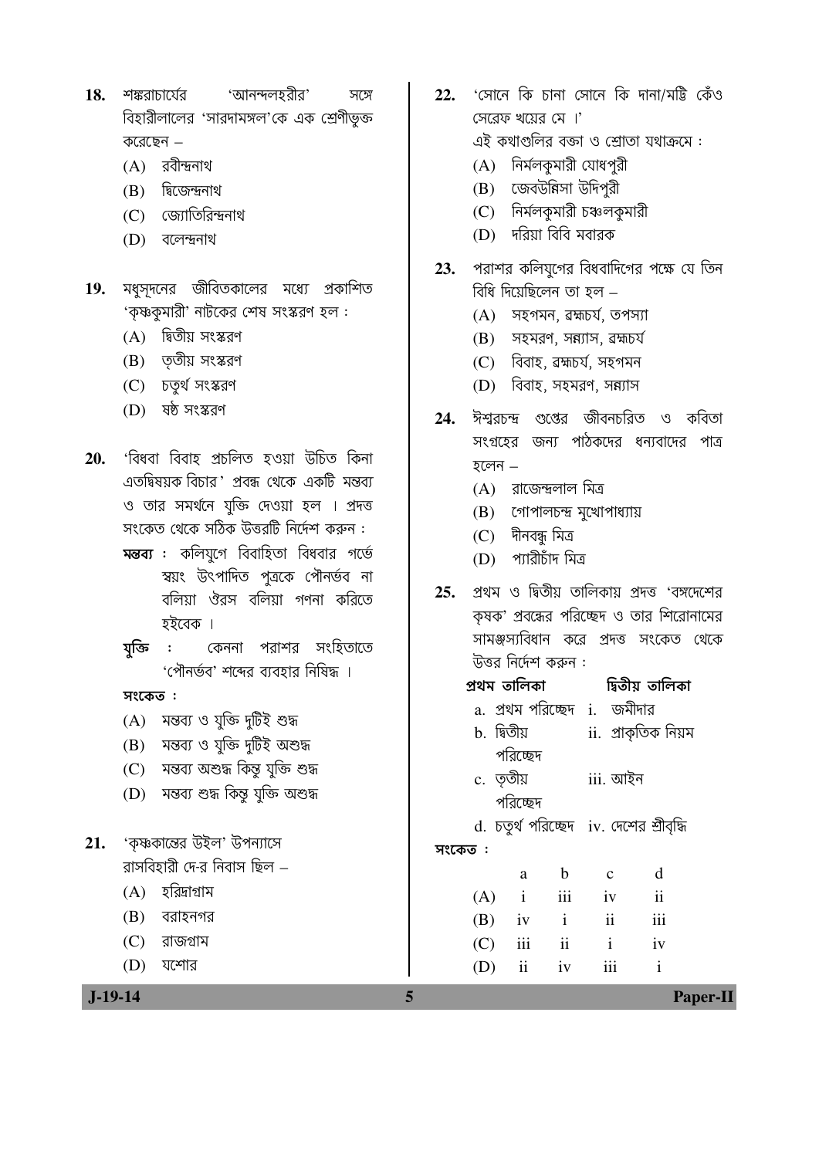- 'আনন্দলহরীর' শঙ্করাচার্যের 18. সঙ্গে বিহারীলালের 'সারদামঙ্গল'কে এক শ্রেণীভূক্ত করেছেন –
	- $(A)$  রবীন্দ্রনাথ
	- $(B)$  দ্বিজেন্দ্ৰনাথ
	- (C) জ্যোতিরিন্দ্রনাথ
	- (D) বলেন্দ্ৰনাথ
- $19.$  মধুসদনের জীবিতকালের মধ্যে প্রকাশিত 'কৃষ্ণকুমারী' নাটকের শেষ সংস্করণ হল:
	- (A) দ্বিতীয় সংস্করণ
	- $(B)$  ততীয় সংস্করণ
	- (C) চতুৰ্থ সংস্করণ
	- $(D)$  ষষ্ঠ সংস্করণ
- 'বিধবা বিবাহ প্ৰচলিত হওয়া উচিত কিনা 20. এতদ্বিষয়ক বিচার 'প্রবন্ধ থেকে একটি মন্তব্য ও তার সমর্থনে যক্তি দেওয়া হল । প্রদত্ত সংকেত থেকে সঠিক উত্তরটি নির্দেশ করুন : **মন্তব্য :** কলিযুগে বিবাহিতা বিধবার গর্ভে
	- স্বয়ং উৎপাদিত পূত্ৰকে পৌনৰ্ভব না বলিয়া ঔরস বলিয়া গণনা করিতে হইরেক ।
	- কেননা পরাশর সংহিতাতে  $\mathbb{R}^2$ যক্তি 'পৌনর্ভব' শব্দের ব্যবহার নিষিদ্ধ ।

- (A) মন্তব্য ও যুক্তি দুটিই শুদ্ধ
- (B) মন্তব্য ও যুক্তি দুটিই অশুদ্ধ
- (C) মন্তব্য অশুদ্ধ কিন্তু যুক্তি শুদ্ধ
- (D) মন্তব্য শুদ্ধ কিন্তু যুক্তি অশুদ্ধ
- 'কৃষ্ণকান্তের উইল' উপন্যাসে  $21.$ ৱাসবিহারী দে-র নিবাস ছিল –
	- $(A)$  হরিদ্রাগ্রাম
	- $(B)$  বরাহনগর
	- $(C)$  রাজগ্রাম
	- $(D)$  যশোর

 $J-19-14$ 

- 22.  $\cdot$ সোনে কি চানা সোনে কি দানা/মট্টি কেঁও সেরেফ খয়ের মে ।' এই কথাগুলির বক্তা ও শ্রোতা যথাক্রমে : (A) নির্মলকুমারী যোধপুরী
	- (B) জেবউন্নিসা উদিপরী
	- (C) নির্মলকুমারী চঞ্চলকুমারী
	- (D) দরিয়া বিবি মবারক
- পরাশর কলিয়গের বিধবাদিগের পক্ষে যে তিন 23. বিধি দিয়েছিলেন তা হল –
	- $(A)$  সহগমন, ৱহ্মচৰ্য, তপস্যা
	- $(B)$  সহমরণ, সন্ন্যাস, ব্রহ্মচর্য
	- (C) বিবাহ, ৱহ্মচৰ্য, সহগমন
	- (D) বিবাহ, সহমরণ, সন্ন্যাস
- ঈশ্বরচন্দ্র গুপ্তের জীবনচরিত ও কবিতা 24. সংগ্রহের জন্য পাঠকদের ধন্যবাদের পাত্র হলেন $-$ 
	- $(A)$  রাজেন্দ্রলাল মিত্র
	- (B) গোপালচন্দ্র মুখোপাধ্যায়
	- $(C)$  দীনবন্ধ মিত্ৰ
	- (D) প্যারীচাঁদ মিত্র
- প্রথম ও দ্বিতীয় তালিকায় প্রদত্ত 'বঙ্গদেশের  $25.$ কৃষক' প্রবন্ধের পরিচ্ছেদ ও তার শিরোনামের সামঞ্জস্যবিধান করে প্রদত্ত সংকেত থেকে উত্তর নির্দেশ করুন :
- প্ৰথম তালিকা দ্বিতীয় তালিকা a. প্রথম পরিচ্ছেদ i. জমীদার  $h$  দ্বিতীয ii. প্ৰাকৃতিক নিয়ম পরিচ্ছেদ c. ততীয় iii. আইন পরিচ্ছেদ d. চতুর্থ পরিচ্ছেদ iv. দেশের শ্রীবৃদ্ধি সংকেত:  $\mathbf d$  $\mathbf b$  $\mathbf{c}$ a  $(A)$  $\mathbf{i}$ iii  $iv$  $\mathbf{ii}$ (B)  $iv$  $\mathbf{i}$  $\mathbf{ii}$ iii  $\mathbf{i}$  $(C)$ iii  $\mathbf{ii}$  $iv$ (D)  $\mathbf{i}$ iii  $\overline{\mathbf{1}}$  $iv$

 $\overline{\mathbf{5}}$ 

Paper-II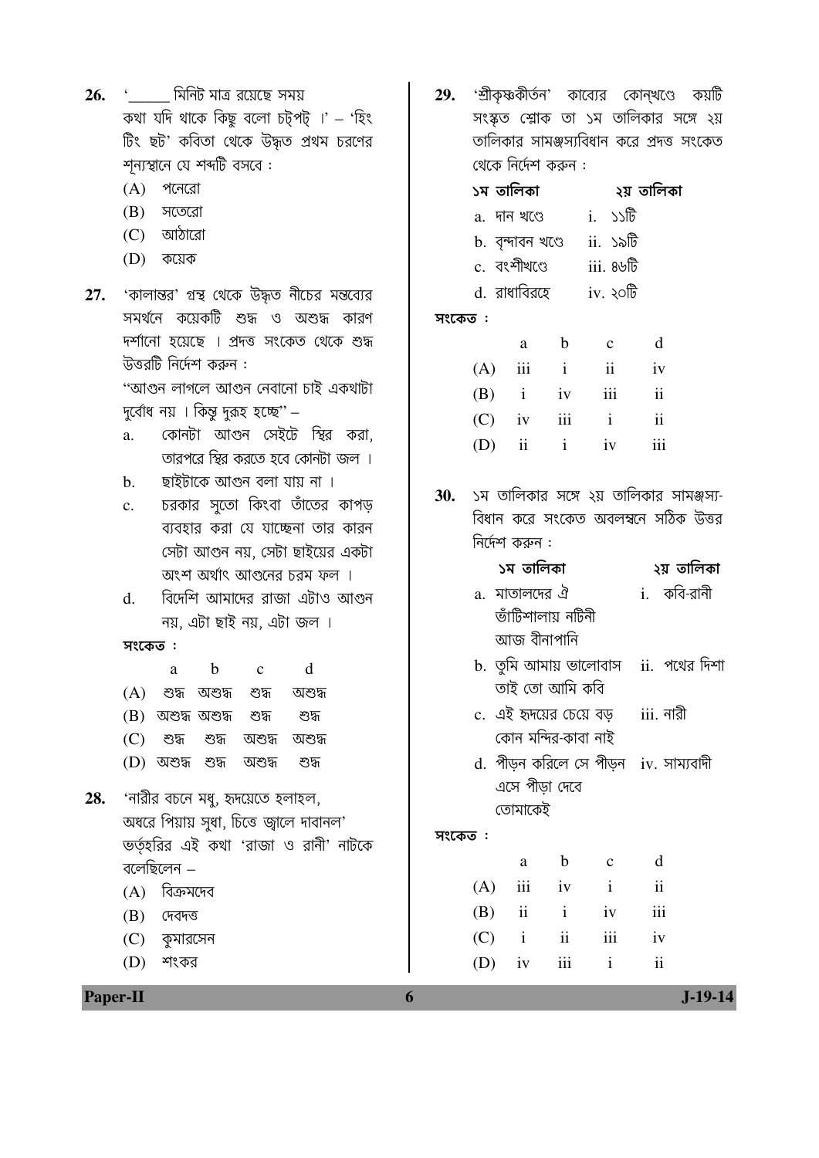| 26.             | '           মিনিট মাত্র রয়েছে  সময়            | 29. |           |                   |                     |                                                   | 'শ্রীকৃষ্ণকীর্তন' কাব্যের কোন্খণ্ডে কয়টি                                      |           |
|-----------------|-------------------------------------------------|-----|-----------|-------------------|---------------------|---------------------------------------------------|--------------------------------------------------------------------------------|-----------|
|                 | কথা যদি থাকে কিছু বলো চট্পট্ ।' – 'হিং          |     |           |                   |                     |                                                   | সংস্কৃত শ্লোক তা ১ম তালিকার সঙ্গে ২য়                                          |           |
|                 | টিং ছট' কবিতা থেকে উদ্ধৃত প্রথম চরণের           |     |           |                   |                     |                                                   | তালিকার সামঞ্জস্যবিধান করে প্রদত্ত সংকেত                                       |           |
|                 | শূন্যস্থানে যে শব্দটি বসবে :                    |     |           |                   | থেকে নির্দেশ করুন : |                                                   |                                                                                |           |
|                 | (A)<br>পনেরো                                    |     | ১ম তালিকা |                   |                     |                                                   | ২য় তালিকা                                                                     |           |
|                 | (B)<br>সতেরো                                    |     |           | a. দান খণ্ডে      |                     | $i.$ $\mathcal{D}\mathbb{D}$                      |                                                                                |           |
|                 | $(C)$ আঠারো                                     |     |           | b. বৃন্দাবন খণ্ডে |                     | ii. ১৯টি                                          |                                                                                |           |
|                 | (D)<br>কয়েক                                    |     |           | c. বংশীখণ্ডে      |                     | $\overline{\text{iii}}$ . 8 $\overline{\text{b}}$ |                                                                                |           |
| 27.             | 'কালান্তর' গ্রন্থ থেকে উদ্ধৃত নীচের মন্তব্যের   |     |           | d. রাধাবিরহে      |                     | $iv.$ ২০টি                                        |                                                                                |           |
|                 | সমর্থনে কয়েকটি শুদ্ধ ও অশুদ্ধ কারণ             |     | সংকেত:    |                   |                     |                                                   |                                                                                |           |
|                 | দর্শানো হয়েছে । প্রদত্ত সংকেত থেকে শুদ্ধ       |     |           | a                 | $\mathbf b$         | $\mathbf{C}$                                      | d                                                                              |           |
|                 | উত্তরটি নির্দেশ করুন :                          |     | (A)       | iii               | $\mathbf{i}$        | $\mathbf{ii}$                                     | iv                                                                             |           |
|                 | ''আগুন লাগলে আগুন নেবানো চাই একথাটা             |     | (B)       | $\mathbf{i}$      | iv                  | iii                                               | $\mathbf{ii}$                                                                  |           |
|                 | দুর্বোধ নয় । কিন্তু দুরূহ হচ্ছে" –             |     | (C)       | iv                | iii                 | $\mathbf{i}$                                      | $\mathbf{ii}$                                                                  |           |
|                 | কোনটা আগুন সেইটে স্থির করা,<br>a.               |     | (D)       | $\mathbf{ii}$     | $\mathbf{i}$        | iv                                                | iii                                                                            |           |
|                 | তারপরে স্থির করতে হবে কোনটা জল ।                |     |           |                   |                     |                                                   |                                                                                |           |
|                 | ছাইটাকে আগুন বলা যায় না ।<br>$\mathbf b$ .     |     |           |                   |                     |                                                   |                                                                                |           |
|                 | চরকার সুতো কিংবা তাঁতের কাপড়<br>$\mathbf{c}$ . | 30. |           |                   |                     |                                                   | ১ম তালিকার সঙ্গে ২য় তালিকার সামঞ্জস্য-<br>বিধান করে সংকেত অবলম্বনে সঠিক উত্তর |           |
|                 | ব্যবহার করা যে যাচ্ছেনা তার কারন                |     |           | নির্দেশ করুন :    |                     |                                                   |                                                                                |           |
|                 | সেটা আগুন নয়, সেটা ছাইয়ের একটা                |     |           |                   |                     |                                                   |                                                                                |           |
|                 | অংশ অর্থাৎ আগুনের চরম ফল ।                      |     |           | ১ম তালিকা         |                     |                                                   | ২য় তালিকা                                                                     |           |
|                 | বিদেশি আমাদের রাজা এটাও আগুন<br>d.              |     |           |                   | a.  মাতালদের ঐ      |                                                   | i. কবি-রানী                                                                    |           |
|                 | নয়, এটা ছাই নয়, এটা জল ।                      |     |           |                   | ভাঁটিশালায় নটিনী   |                                                   |                                                                                |           |
|                 | সংকেত:                                          |     |           | আজ বীনাপানি       |                     |                                                   |                                                                                |           |
|                 | $\mathbf b$<br>d<br>$\mathbf c$<br>a            |     |           |                   |                     |                                                   | b. তুমি আমায় ভালোবাস ii. পথের দিশা                                            |           |
|                 | (A) শুদ্ধ অশুদ্ধ শুদ্ধ<br>অশুদ্ধ                |     |           |                   | তাই তো আমি কবি      |                                                   |                                                                                |           |
|                 | (B) অশুদ্ধ অশুদ্ধ<br>শুদ্ধ<br>শুদ্ধ             |     |           |                   |                     | c.  এই হৃদয়ের চেয়ে বড়                          | iii. নারী                                                                      |           |
|                 | (C)<br>শুদ্ধ<br>অশুদ্ধ<br>শুদ্ধ<br>অশুদ্ধ       |     |           |                   | কোন মন্দির-কাবা নাই |                                                   |                                                                                |           |
|                 | $(D)$ অশুদ্ধ শুদ্ধ<br>অশুদ্ধ<br>শুদ্ধ           |     |           |                   |                     |                                                   | d. পীড়ন করিলে সে পীড়ন iv. সাম্যবাদী                                          |           |
| 28.             | 'নারীর বচনে মধু, হৃদয়েতে হলাহল,                |     |           |                   | এসে পীড়া দেবে      |                                                   |                                                                                |           |
|                 | অধরে পিয়ায় সুধা, চিত্তে জ্বালে দাবানল'        |     |           | তোমাকেই           |                     |                                                   |                                                                                |           |
|                 | ভর্তৃহরির এই কথা 'রাজা ও রানী' নাটকে            |     | সংকেত :   |                   |                     |                                                   |                                                                                |           |
|                 | বলেছিলেন –                                      |     |           | a                 | $\mathbf b$         | $\mathbf C$                                       | d                                                                              |           |
|                 | বিক্রমদেব<br>(A)                                |     | (A)       | iii               | iv                  | $\mathbf{i}$                                      | $\overline{\mathbf{u}}$                                                        |           |
|                 | (B)<br>দেবদত্ত                                  |     | (B)       | ii                | $\mathbf{i}$        | iv                                                | iii                                                                            |           |
|                 | (C) কুমারসেন                                    |     | (C)       | $\mathbf{i}$      | ii                  | $\rm iii$                                         | iv                                                                             |           |
|                 | (D)<br>শংকর                                     |     | (D)       | iv                | iii                 | $\mathbf{i}$                                      | $\overline{\mathbf{u}}$                                                        |           |
|                 |                                                 |     |           |                   |                     |                                                   |                                                                                |           |
| <b>Paper-II</b> |                                                 | 6   |           |                   |                     |                                                   |                                                                                | $J-19-14$ |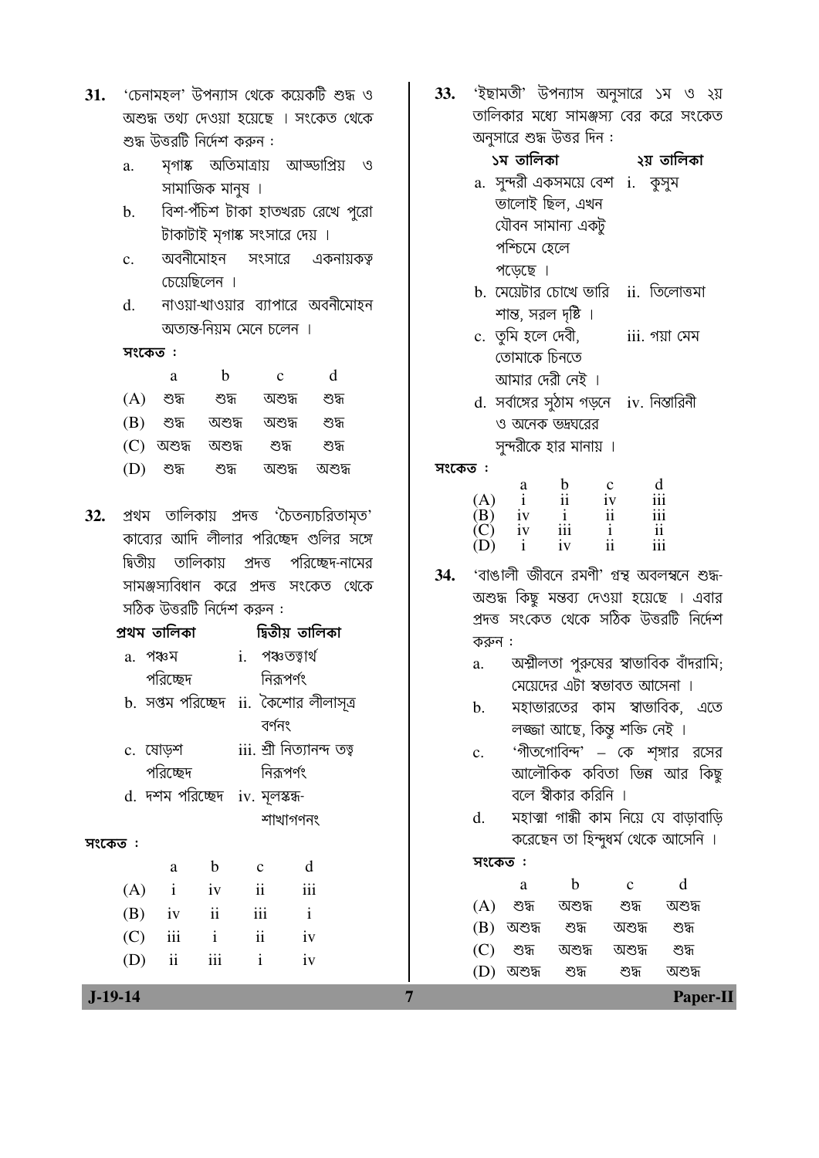| 31. 'চেনামহল' উপন্যাস থেকে কয়েকটি শুদ্ধ ও |
|--------------------------------------------|
| অশুদ্ধ তথ্য দেওয়া হয়েছে । সংকেত থেকে     |
| শুদ্ধ উত্তরটি নির্দেশ করুন :               |

- সগাঙ্ক অতিমাত্রায় আড্ডাপ্রিয় ও  $a$ . সামাজিক মানুষ ।
- বিশ-পঁচিশ টাকা হাতখরচ রেখে পুরো  $<sub>b</sub>$ .</sub> টাকাটাই মৃগাষ্ক সংসারে দেয় ।
- অবনীমোহন সংসারে  $\mathbf{c}$ . একনায়কত্ব চেয়েছিলেন ।
- নাওয়া-খাওয়ার ব্যাপারে অবনীমোহন  $\mathbf{d}$ . অতান্ত-নিয়ম মেনে চলেন ।

|     | a         | h      | $\mathcal{C}$ | d      |
|-----|-----------|--------|---------------|--------|
| (A) | শুদ্ধ     | শুদ্ধ  | অশুদ্ধ        | শেস    |
| (B) | শুদ্ধ     | অশুদ্ধ | অশুদ্ধ        | শুদ্ধ  |
| (C) | অশুদ্ধ    | অশুদ্ধ | শুদ্ধ         | শেস    |
|     | (D) শুদ্ধ | শুদ্ধ  | অশুদ          | অশুদ্ধ |

32. প্রথম তালিকায় প্রদত্ত 'চৈতন্যচরিতামৃত' কাব্যের আদি লীলার পরিচ্ছেদ গুলির সঙ্গে দ্বিতীয় তালিকায় প্ৰদত্ত পরিচ্ছেদ-নামের সামঞ্জস্যবিধান করে প্রদত্ত সংকেত থেকে সঠিক উত্তরটি নির্দেশ করুন :

| প্ৰথম তালিকা |                                |                          |                     | াদ্বতীয় তাালকা                        |  |  |
|--------------|--------------------------------|--------------------------|---------------------|----------------------------------------|--|--|
|              | a. পঞ্চম                       |                          |                     | i. পঞ্চতত্বাৰ্থ                        |  |  |
|              | পরিচ্ছেদ                       |                          |                     | নিরূপর্ণং                              |  |  |
|              |                                |                          |                     | b. সপ্তম পরিচ্ছেদ  ii. কৈশোর লীলাসূত্র |  |  |
|              |                                |                          |                     | বৰ্ণনং                                 |  |  |
|              | c. মোড়শ                       |                          |                     | iii. শ্ৰী নিত্যানন্দ তত্ব              |  |  |
|              | পরিচ্ছেদ                       |                          |                     | নিরূপর্ণং                              |  |  |
|              | d. দশম পরিচ্ছেদ iv. মূলস্কন্ধ- |                          |                     |                                        |  |  |
|              |                                |                          |                     | শাখাগণনং                               |  |  |
| সংকেত :      |                                |                          |                     |                                        |  |  |
|              | a                              | b                        | $\mathbf{C}$        | d                                      |  |  |
| (A)          | $\mathbf{i}$                   | iv                       | $\ddot{\mathbf{i}}$ | iii                                    |  |  |
|              | $(B)$ iv                       | $\overline{\mathbf{ii}}$ | iii                 | $\mathbf{i}$                           |  |  |
| (C)          | iii                            | $\mathbf{i}$             | $\mathbf{ii}$       | iv                                     |  |  |
| (D)          | $\mathbf{ii}$                  | $\mathbf{iii}$           | $\mathbf{1}$        | iv                                     |  |  |

33. 'ইছামতী' উপন্যাস অনুসারে ১ম ও ২য় তালিকার মধ্যে সামঞ্জস্য বের করে সংকেত অনুসারে শুদ্ধ উত্তর দিন :

|    | ୬ ଏଠାା କରା                          | २३ ७॥नक        |
|----|-------------------------------------|----------------|
| a. | সুন্দরী একসময়ে বেশ <b>া.</b> কুসুম |                |
|    | ভালোই ছিল, এখন                      |                |
|    | যৌবন সামান্য একটু                   |                |
|    | পশ্চিমে হেলে                        |                |
|    | পড়েছে ।                            |                |
|    | $\overline{r}$                      | $\overline{C}$ |

- b. সেয়েটার চোখে ভারি ii. তিলোত্তমা শান্ত, সরল দৃষ্টি ।
- c. তুমি হলে দেবী, iii. গয়া মেম তোমাকে চিনতে আমার দেরী নেই ।
- d. সর্বাঙ্গের সুঠাম গড়নে iv. নিস্তারিনী ও অনেক ভদ্রঘরের সুন্দরীকে হার মানায় ।

সংকেত:

|     | a  | b   | с  | d   |
|-----|----|-----|----|-----|
| (A) |    | 11  | iv | 111 |
| (B) | iv |     | 11 | 111 |
| (C) | iv | 111 |    | 11  |
| (D) |    | 1V  | 11 | 111 |

- 'বাঙালী জীবনে রমণী' গ্রন্থ অবলম্বনে শুদ্ধ-**34.** অশুদ্ধ কিছু মন্তব্য দেওয়া হয়েছে । এবার প্রদত্ত সংকেত থেকে সঠিক উত্তরটি নির্দেশ করুন :
	- অশ্মীলতা পুরুষের স্বাভাবিক বাঁদরামি; a. মেয়েদের এটা স্বভাবত আসেনা ।
	- মহাভারতের কাম স্বাভাবিক, এতে b. লজ্জা আছে, কিন্তু শক্তি নেই ।
	- <sup>∙</sup>গীতগোবিন্দ' কে শৃঙ্গার রসের  $c_{\cdot}$ আলৌকিক কবিতা ভিন্ন আর কিছু বলে স্বীকার করিনি ।
	- মহাত্মা গান্ধী কাম নিয়ে যে বাডাবাডি  $d_{\cdot}$ করেছেন তা হিন্দুধর্ম থেকে আসেনি ।

সংকেত:

 $\overline{7}$ 

|     | а      | h      | C      | d      |  |
|-----|--------|--------|--------|--------|--|
| (A) | শুদ্ধ  | অশুদ্ধ | শুদ্ধ  | অশুদ্ধ |  |
| (B) | অশুদ্ধ | শুদ    | অশুদ্ধ | শুদ্ধ  |  |
| (C) | শুদ্ধ  | অশুদ্ধ | অশুদ্ধ | শুদ্ধ  |  |
| (D) | অশুদ্ধ | শুদ্ধ  | শুদ্ধ  | অশুদ্ধ |  |

 $J-19-14$ 

**Paper-II**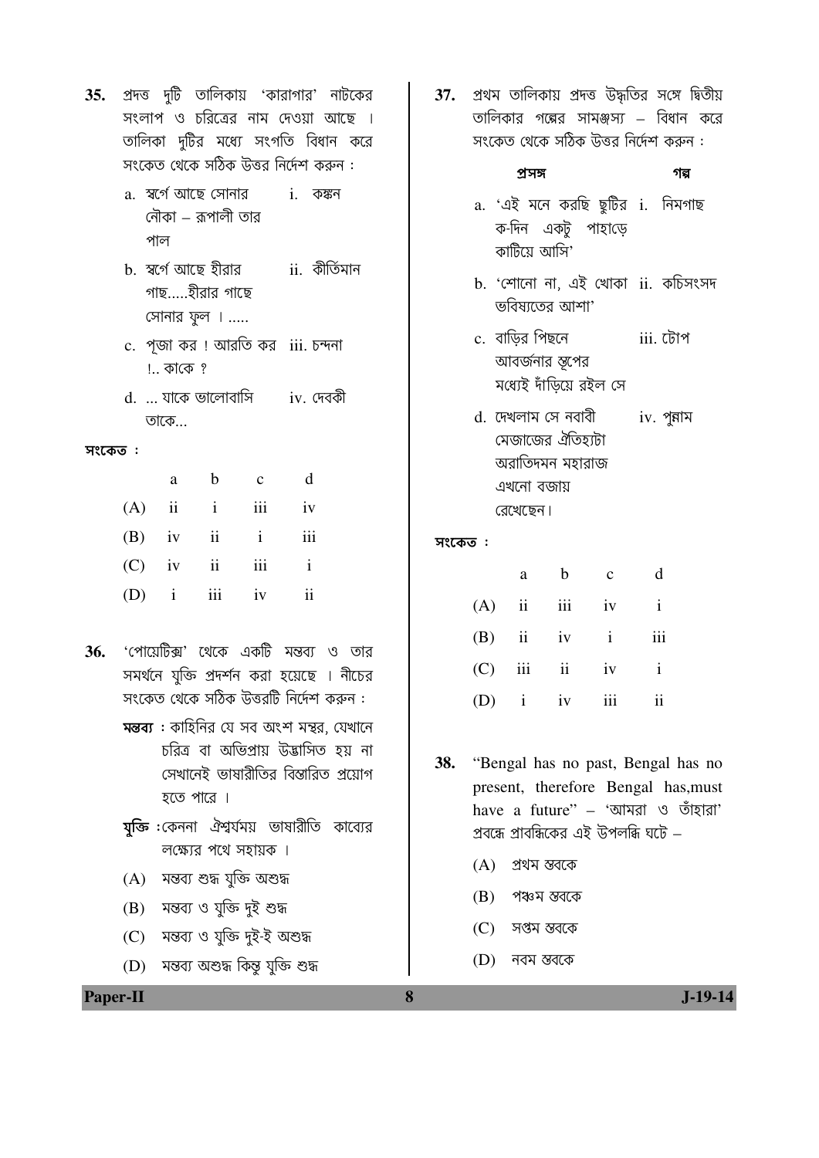- $35.$  প্রদত্ত দুটি তালিকায় 'কারাগার' নাটকের সংলাপ ও চরিত্রের নাম দেওয়া আছে । তালিকা দুটির মধ্যে সংগতি বিধান করে সংকেত থেকে সঠিক উত্তর নির্দেশ করুন :
	- a. ম্বৰ্গে আছে সোনার i. কঙ্কন নৌকা – কপালী তাব পাল
	- b. স্বৰ্গে আছে হীৱার ii. কীৰ্তিমান গাছ…..হীরার গাছে সোনার ফুল । .....
	- c. পজা কর ! আরতি কর iii. চন্দনা !.. কাকে ?
	- d. ... যাকে ভালোবাসি iv. দেবকী তাকে...

|          | a           | b            | $\mathbf{c}$ | d            |
|----------|-------------|--------------|--------------|--------------|
| $(A)$ ii |             | $\mathbf{i}$ | iii          | iv           |
|          | $(B)$ iv ii |              | $\mathbf{i}$ | iii          |
|          | $(C)$ iv ii |              | iii          | $\mathbf{i}$ |
|          | $(D)$ i iii |              | iv           | ii           |

- 'পোয়েটিক্স' থেকে একটি মন্তব্য ও তার 36. সমর্থনে যুক্তি প্রদর্শন করা হয়েছে । নীচের সংকেত থেকে সঠিক উত্তরটি নির্দেশ করুন :
	- মন্তব্য : কাহিনির যে সব অংশ মন্থর, যেখানে চরিত্র বা অভিপ্রায় উদ্ভাসিত হয় না সেখানেই ভাষারীতির বিস্তারিত <u>প্র</u>য়োগ হতে পারে ।
	- <mark>যক্তি</mark> :কেননা ঐশ্বর্যময় ভাষারীতি কাব্যের লক্ষ্যের পথে সহায়ক ।
	- (A) মন্তব্য শুদ্ধ যুক্তি অশুদ্ধ
	- (B) মন্তব্য ও যুক্তি দুই শুদ্ধ

**Paper-II** 

- (C) মন্তব্য ও যুক্তি দুই-ই অশুদ্ধ
- (D) মন্তব্য অশুদ্ধ কিন্তু যুক্তি শুদ্ধ

37. প্রথম তালিকায় প্রদত্ত উদ্ধতির সঙ্গে দ্বিতীয় তালিকার গল্পের সামঞ্জস্য – বিধান করে সংকেত থেকে সঠিক উত্তর নির্দেশ করুন :

#### প্ৰসঙ্গ গল্প

- a. 'এই মনে করছি ছুটির i. নিমগাছ ক-দিন একটু পাহাড়ে কাটিয়ে আসি'
- b. 'শোনো না, এই খোকা ii. কচিসংসদ ভবিষাতের আশা'
- c. বাড়ির পিছনে iii. টোপ আবর্জনার স্তপের মধ্যেই দাঁডিয়ে রইল সে
- d. দেখলাম সে নবাবী iv. পুন্নাম মেজাজের ঐতিহ্যটা অরাতিদমন মহারাজ এখনো বজায় রেখেছেন।

## সংকেত:

|              | a           | b              | $\mathbf{C}$ | d              |
|--------------|-------------|----------------|--------------|----------------|
|              |             | $(A)$ ii iii   | iv           | $\mathbf{i}$   |
|              | $(B)$ ii iv |                | $\mathbf{i}$ | iii            |
| $(C)$ iii ii |             |                | iv           | $\mathbf{i}$   |
|              |             | $(D)$ i iv iii |              | $\ddot{\rm n}$ |

- 38. "Bengal has no past, Bengal has no present, therefore Bengal has, must have a future" - 'আমরা ও তাঁহারা' প্রবন্ধে প্রাবন্ধিকের এই উপলব্ধি ঘটে –
	- $(A)$  প্রথম স্তবকে
	- (B) পঞ্চম স্তবকে
	- সপ্তম স্তবকে  $(C)$
	- (D) নবম স্তবকে
	-

 $\bf{8}$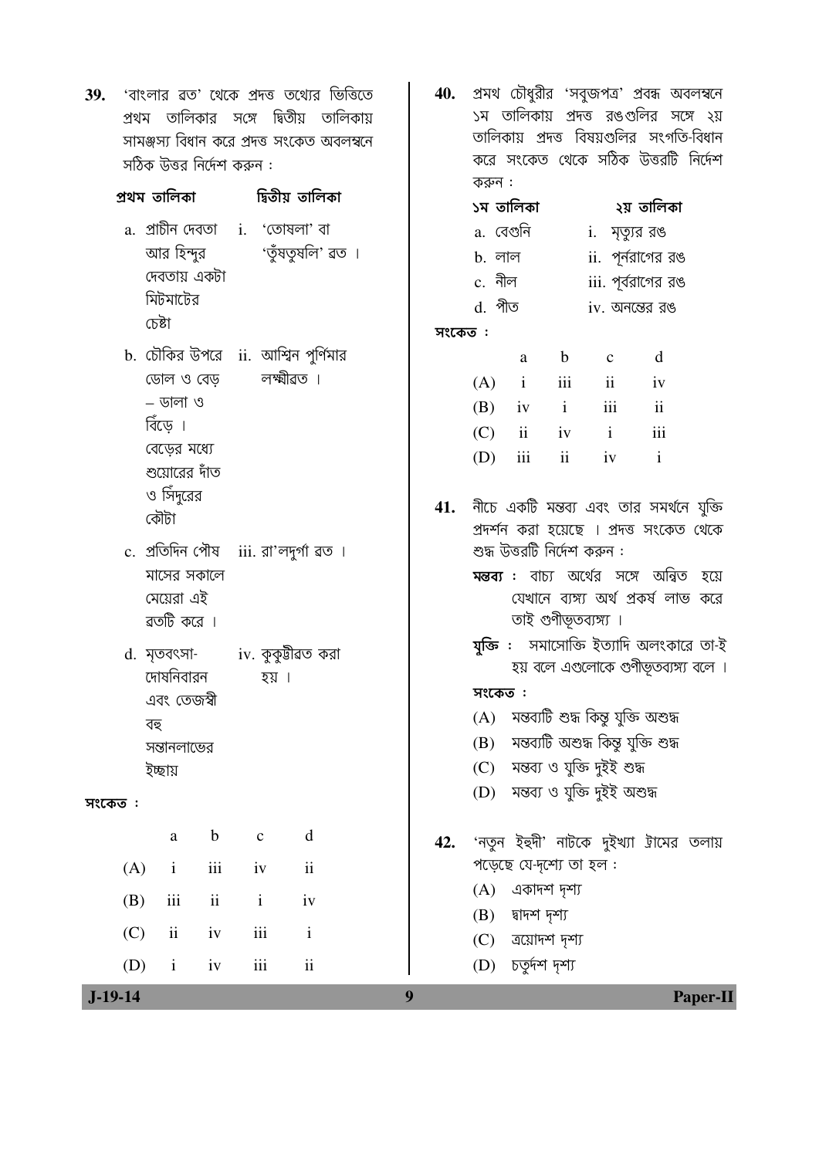| 39.                      | 'বাংলার ৱত' থেকে প্রদত্ত তথ্যের ভিত্তিতে<br>প্রথম তালিকার সঙ্গে দ্বিতীয় তালিকায়<br>সামঞ্জস্য বিধান করে প্রদত্ত সংকেত অবলম্বনে<br>সঠিক উত্তর নির্দেশ করুন : |                                                  |                                                                 | 40.    |                              |                                                                                                 |                                                  | প্রমথ চৌধুরীর 'সবুজপত্র' প্রবন্ধ অবলম্বনে<br>১ম তালিকায় প্রদত্ত রঙগুলির সঙ্গে ২য়<br>তালিকায় প্রদত্ত বিষয়গুলির সংগতি-বিধান<br>করে সংকেত থেকে সঠিক উত্তরটি নির্দেশ                             |                                                           |          |
|--------------------------|--------------------------------------------------------------------------------------------------------------------------------------------------------------|--------------------------------------------------|-----------------------------------------------------------------|--------|------------------------------|-------------------------------------------------------------------------------------------------|--------------------------------------------------|--------------------------------------------------------------------------------------------------------------------------------------------------------------------------------------------------|-----------------------------------------------------------|----------|
|                          | প্ৰথম তালিকা          দ্বিতীয় তালিকা                                                                                                                        |                                                  |                                                                 |        | করুন :<br>১ম তালিকা          |                                                                                                 |                                                  |                                                                                                                                                                                                  | ২য় তালিকা                                                |          |
| চেষ্টা                   | a. প্রাচীন দেবতা i. 'তোষলা' বা<br>আর হিন্দুর<br>দেবতায় একটা<br>মিটমাটের                                                                                     |                                                  | 'তুঁষতুষলি' ৱত ।                                                | সংকেত: | d. পীত                       | a. বেগুনি<br>b. লাল<br>c. नील                                                                   |                                                  | i. মৃত্যুর রঙ<br>$ii.$ পূর্নরাগের রঙ<br>iii. পূর্বরাগের রঙ<br>$iv.$ অনন্তের রঙ                                                                                                                   |                                                           |          |
| বিঁড়ে ।<br>কৌটা         | b. চৌকির উপরে  ii. আশ্বিন পুর্ণিমার<br>ডোল ও বেড়<br>$-$ ডালা ও<br>বেড়ের মধ্যে<br>শুয়োরের দাঁত<br>ও সিঁদুরের                                               | লক্ষ্মীৱত ।                                      |                                                                 | 41.    | (A)<br>(B)<br>(C)<br>(D)     | a<br>$\mathbf{i}$<br>iv<br>ii<br>iii                                                            | $\mathbf b$<br>iii<br>$\mathbf{i}$<br>iv i<br>ii | $\mathbf c$<br>$\overline{\mathbf{ii}}$<br>$\overline{\text{iii}}$<br>iv<br>নীচে একটি মন্তব্য এবং তার সমর্থনে যুক্তি<br>প্রদর্শন করা হয়েছে । প্রদত্ত সংকেত থেকে                                 | d<br>iv<br>$\overline{\mathbf{1}}$<br>iii<br>$\mathbf{i}$ |          |
|                          | c. প্ৰতিদিন পৌষ iii. রা'লদুৰ্গা ৱত ।<br>মাসের সকালে<br>মেয়েরা এই<br>ৱতটি করে ।                                                                              |                                                  |                                                                 |        |                              | শুদ্ধ উত্তরটি নির্দেশ করুন :<br>তাই গুণীভূতব্যঙ্গ্য ।                                           |                                                  | <b>মন্তব্য :</b> বাচ্য অর্থের সঙ্গে অন্বিত হয়ে<br>যেখানে ব্যঙ্গ্য অর্থ প্রকর্ষ লাভ করে                                                                                                          |                                                           |          |
| বহু<br>ইচ্ছায়           | d. মৃতবৎসা- iv. কুকুটীৱত করা<br>দোষনিবারন<br>এবং তেজশ্বী<br>সন্তানলাভের                                                                                      | হয় ।                                            |                                                                 |        | সংকেত ፡<br>(A)<br>(B)<br>(C) |                                                                                                 |                                                  | যুক্তি :  সমাসোক্তি ইত্যাদি অলংকারে তা-ই<br>হয় বলে এগুলোকে গুণীভূতব্যঙ্গ্য বলে ।<br>মন্তব্যটি শুদ্ধ কিন্তু যুক্তি অশুদ্ধ<br>মন্তব্যটি অশুদ্ধ কিন্তু যুক্তি শুদ্ধ<br>মন্তব্য ও যুক্তি দুইই শুদ্ধ |                                                           |          |
| সংকেত :                  |                                                                                                                                                              |                                                  |                                                                 |        | (D)                          |                                                                                                 |                                                  | মন্তব্য ও যুক্তি দুইই অশুদ্ধ                                                                                                                                                                     |                                                           |          |
| (A)<br>(B)<br>(C)<br>(D) | $\mathbf b$<br>$\rm{a}$<br>$\rm iii$<br>$\mathbf{i}$<br>$\rm ii$<br>iii<br>iv<br>$\mathbf{ii}$<br>iv<br>$\mathbf{i}$                                         | $\mathbf{C}$<br>iv<br>$\mathbf{i}$<br>iii<br>iii | d<br>$\rm ii$<br>iv<br>$\mathbf{i}$<br>$\overline{\mathbf{ii}}$ | 42.    | (A)<br>(B)<br>(C)            | পড়েছে যে-দূশ্যে তা হল:<br>একাদশ দৃশ্য<br>দ্বাদশ দৃশ্য<br>ত্রয়োদশ দৃশ্য<br>$(D)$ চতুৰ্দশ দৃশ্য |                                                  | 'নতুন ইহুদী' নাটকে দুইখ্যা ট্রামের তলায়                                                                                                                                                         |                                                           |          |
| $J-19-14$                |                                                                                                                                                              |                                                  |                                                                 | 9      |                              |                                                                                                 |                                                  |                                                                                                                                                                                                  |                                                           | Paper-II |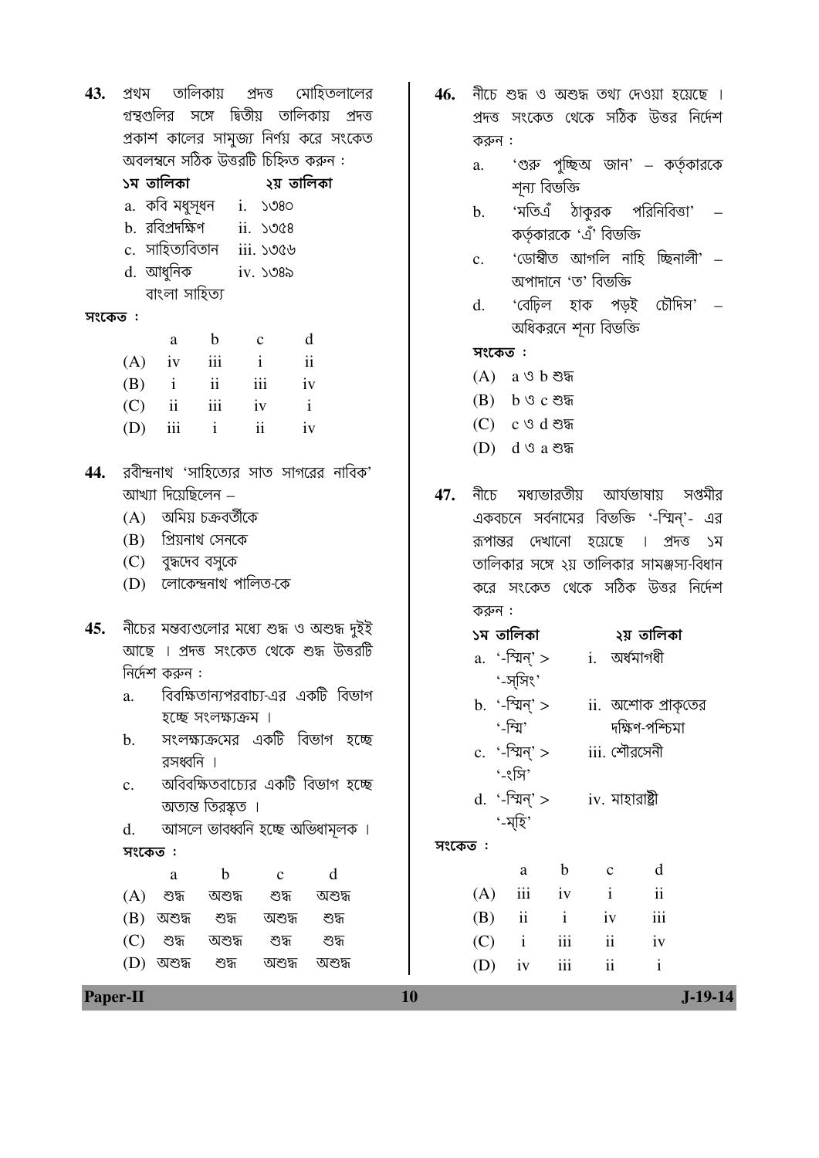| 43.     | তালিকায় প্রদত্ত মোহিতলালের<br>প্ৰথম                                                   | 46.     | নীচে শুদ্ধ ও অশুদ্ধ তথ্য দেওয়া হয়েছে ।                                               |
|---------|----------------------------------------------------------------------------------------|---------|----------------------------------------------------------------------------------------|
|         | গুন্থগুলির সঙ্গে দ্বিতীয় তালিকায় প্রদত্ত<br>প্রকাশ কালের সামুজ্য নির্ণয় করে সংকেত   |         | প্রদত্ত সংকেত থেকে সঠিক উত্তর নির্দেশ                                                  |
|         | অবলম্বনে সঠিক উত্তরটি চিহ্নিত করুন :                                                   |         | করুন :<br>'গুরু পুচ্ছিঅ জান' – কর্তৃকারকে<br>a.                                        |
|         |                                                                                        |         | শূন্য বিভক্তি                                                                          |
|         | a. কবি মধুসূধন i. ১৩৪০                                                                 |         | 'মতিএঁ ঠাকুরক পরিনিবিত্তা' –<br>b.                                                     |
|         | b. রবিপ্রদক্ষিণ ii. ১৩৫৪                                                               |         | কর্তৃকারকে 'এঁ' বিভক্তি                                                                |
|         | c. সাহিত্যবিতান iii. ১৩৫৬                                                              |         | 'ডোম্বীত আগলি নাহি চ্ছিনালী' –<br>$\mathbf{c}$ .                                       |
|         | d. আধুনিক iv. ১৩৪৯                                                                     |         | অপাদানে 'ত' বিভক্তি                                                                    |
|         | বাংলা সাহিত্য                                                                          |         | 'বেঢ়িল হাক পড়ই চৌদিস' –<br>d.                                                        |
| সংকেত : | b                                                                                      |         | অধিকরনে শূন্য বিভক্তি                                                                  |
|         | d<br>a<br>$\mathbf c$<br>iv iii<br>(A)<br>$\mathbf{i}$<br>$\overline{\textbf{ii}}$     |         | সংকেত:                                                                                 |
|         | $\overline{\mathbf{ii}}$<br>(B)<br>iii<br>$\mathbf{i}$<br>iv                           |         | $(A)$ a ও b শুদ্ধ                                                                      |
|         | ii iii iv i<br>(C)                                                                     |         | $(B)$ b ও c শুদ্ধ                                                                      |
|         | ii<br>iii<br>$\mathbf{i}$<br>(D)<br>iv                                                 |         | (C)<br>$c \vartheta d$ শুদ্ধ                                                           |
|         |                                                                                        |         | (D)<br>$d$ ও a শুদ্ধ                                                                   |
| 44.     | রবীন্দ্রনাথ 'সাহিত্যের সাত সাগরের নাবিক'                                               |         |                                                                                        |
|         | আখ্যা দিয়েছিলেন –                                                                     | 47.     | নীচে মধ্যভারতীয় আর্যভাষায় সপ্তমীর                                                    |
|         | (A) অমিয় চক্রবর্তীকে                                                                  |         | একবচনে সর্বনামের বিভক্তি '-স্মিন্'- এর                                                 |
|         | (B) প্রিয়নাথ সেনকে                                                                    |         | দেখানো হয়েছে ।<br>রূপান্তর<br>প্ৰদত্ত<br>্যস                                          |
|         | (C) বুদ্ধদেব বসুকে                                                                     |         | তালিকার সঙ্গে ২য় তালিকার সামঞ্জস্য-বিধান                                              |
|         | (D) লোকেন্দ্ৰনাথ পালিত-কে                                                              |         | করে সংকেত থেকে সঠিক উত্তর নির্দেশ                                                      |
| 45.     |                                                                                        |         | করুন :                                                                                 |
|         | নীচের মন্তব্যগুলোর মধ্যে শুদ্ধ ও অশুদ্ধ দুইই<br>আছে । প্রদত্ত সংকেত থেকে শুদ্ধ উত্তরটি |         |                                                                                        |
|         | নির্দেশ করুন :                                                                         |         | a. '-স্মিন্' > i. অর্ধমাগধী                                                            |
|         | বিবক্ষিতান্যপরবাচ্য-এর একটি বিভাগ<br>a.                                                |         | $\cdot$ -স্সিং'                                                                        |
|         | হচ্ছে সংলক্ষ্যক্রম ।                                                                   |         | b. '-শ্মিন্' ><br>ii. অশোক প্রাকৃতের                                                   |
|         | সংলক্ষ্যক্রমের একটি বিভাগ হচ্ছে<br>$\mathbf{b}$ .                                      |         | '-न्ग्रि'<br>দক্ষিণ-পশ্চিমা                                                            |
|         | রসধ্বনি ।                                                                              |         | c. '-স্মিন্' $>$ iii. পৌরসেনী<br>ʻ-ংসি'                                                |
|         | অবিবক্ষিতবাচ্যের একটি বিভাগ হচ্ছে<br>c.                                                |         | d. '-স্মিন্' > iv. মাহারাষ্ট্রী                                                        |
|         | অত্যন্ত তিরস্কত ।                                                                      |         | '-ম্হি'                                                                                |
|         | আসলে ভাবধ্বনি হচ্ছে অভিধামূলক ।<br>d.                                                  |         |                                                                                        |
|         | সংকেত:                                                                                 | সংকেত : |                                                                                        |
|         | $\mathbf b$<br>d<br>$\mathbf{C}$<br>a                                                  |         | $\mathbf b$<br>d<br>$\mathbf C$<br>a<br>iii<br>$\mathbf{i}$<br>$\overline{\mathbf{u}}$ |
|         | (A)<br>শুদ্ধ<br>অশুদ্ধ<br>শুদ্ধ<br>অশুদ্ধ                                              |         | (A)<br>iv<br>iii<br>ii<br>$\mathbf{i}$<br>(B)<br>iv                                    |
|         | (B)<br>অশুদ্ধ<br>শুদ্ধ<br>অশুদ্ধ<br>শুদ্ধ<br>(C)<br>শুদ্ধ<br>অশুদ্ধ<br>শুদ্ধ<br>শুদ্ধ  |         | $\rm iii$<br>ii<br>$\mathbf{i}$<br>(C)<br>iv                                           |
|         | $(D)$ অশুদ্ধ<br>শুদ্ধ<br>অশুদ্ধ<br>অশুদ্ধ                                              |         | $\rm ii$<br>(D)<br>iii<br>iv<br>$\mathbf{i}$                                           |
|         |                                                                                        |         |                                                                                        |

Paper-II

 $10$ 

 $J-19-14$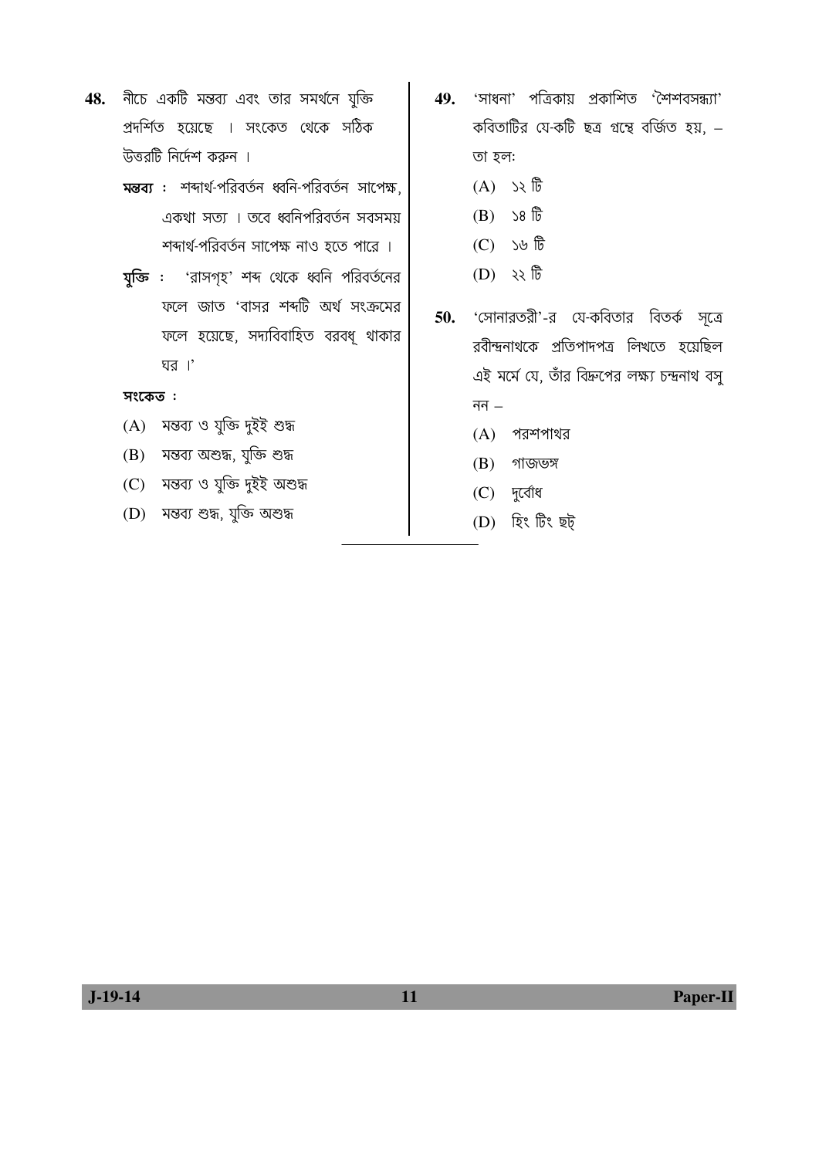- 48. নীচে একটি মন্তব্য এবং তার সমর্থনে যুক্তি প্রদর্শিত হয়েছে । সংকেত থেকে সঠিক উত্তরটি নির্দেশ করুন ।
	- মন্তব্য : শব্দাৰ্থ-পরিবর্তন ধ্বনি-পরিবর্তন সাপেক্ষ, একথা সত্য । তবে ধ্বনিপরিবর্তন সবসময় শব্দার্থ-পরিবর্তন সাপেক্ষ নাও হতে পারে ।
	- যুক্তি : 'রাসগৃহ' শব্দ থেকে ধ্বনি পরিবর্তনের ফলে জাত 'বাসর শব্দটি অর্থ সংক্রমের ফলে হয়েছে, সদ্যবিবাহিত বরবধূ থাকার ঘর।'

- $(A)$  মন্তব্য ও যুক্তি দুইই শুদ্ধ
- $(B)$  মন্তব্য অশুদ্ধ, যুক্তি শুদ্ধ
- (C) মন্তব্য ও যুক্তি দুইই অশুদ্ধ
- (D) মন্তব্য শুদ্ধ, যুক্তি অশুদ্ধ
- $49.$  'সাধনা' পত্রিকায় প্রকাশিত 'শৈশবসন্ধ্যা' কবিতাটির যে-কটি ছত্র গ্রন্থে বর্জিত হয়, – তা হল:
	- $(A)$   $\rightarrow$   $\mathbb{\hat{E}}$
	- $(B)$  >8  $\overline{\mathbb{G}}$
	- $(C)$   $\forall$   $\theta$
	- $(D)$   $\forall$   $\sqrt[3]{6}$
- 50. 'সোনারতরী'-র যে-কবিতার বিতর্ক সূত্রে রবীন্দ্রনাথকে প্রতিপাদপত্র লিখতে হয়েছিল এই মর্মে যে, তাঁর বিদ্রুপের লক্ষ্য চন্দ্রনাথ বসু নন  $-$ 
	- $(A)$  পরশপাথর
	- $(B)$  গাজভঙ্গ
	- (C) দুৰ্বোধ
	- (D) হিং টিং ছট্